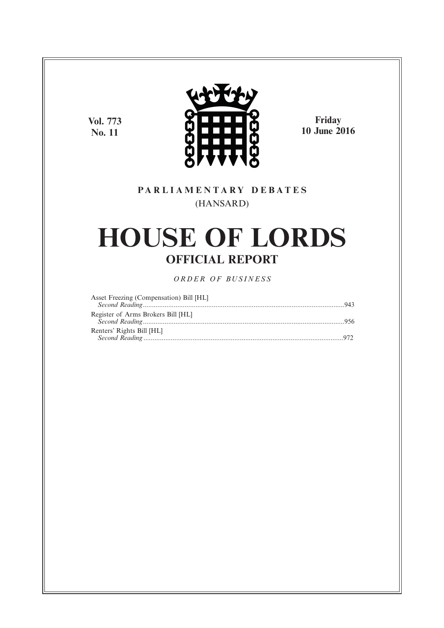**Vol. 773 No. 11**



**Friday 10 June 2016**

# **P A R L I A M E N T A R Y D E B A T E S** (HANSARD)

# **HOUSE OF LORDS OFFICIAL REPORT**

*O R D E R O F BU S I N E S S*

| Asset Freezing (Compensation) Bill [HL] |  |
|-----------------------------------------|--|
|                                         |  |
| Register of Arms Brokers Bill [HL]      |  |
|                                         |  |
| Renters' Rights Bill [HL]               |  |
|                                         |  |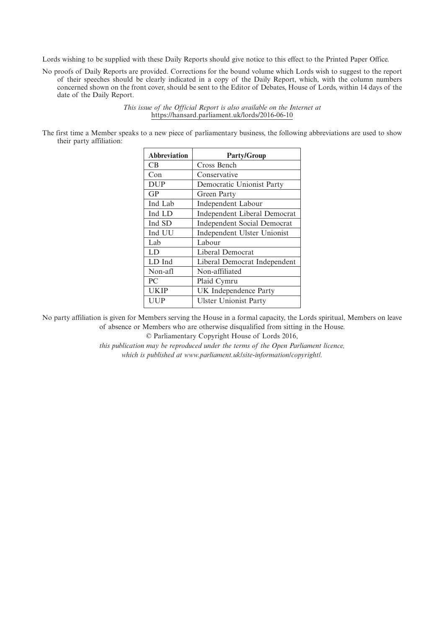Lords wishing to be supplied with these Daily Reports should give notice to this effect to the Printed Paper Office.

No proofs of Daily Reports are provided. Corrections for the bound volume which Lords wish to suggest to the report of their speeches should be clearly indicated in a copy of the Daily Report, which, with the column numbers concerned shown on the front cover, should be sent to the Editor of Debates, House of Lords, within 14 days of the date of the Daily Report.

> *This issue of the Official Report is also available on the Internet at* https://hansard.parliament.uk/lords/2016-06-10

The first time a Member speaks to a new piece of parliamentary business, the following abbreviations are used to show their party affiliation:

| <b>Abbreviation</b> | <b>Party/Group</b>                  |
|---------------------|-------------------------------------|
| CB.                 | Cross Bench                         |
| Con                 | Conservative                        |
| <b>DUP</b>          | Democratic Unionist Party           |
| GP                  | Green Party                         |
| Ind Lab             | Independent Labour                  |
| Ind LD              | <b>Independent Liberal Democrat</b> |
| Ind SD              | <b>Independent Social Democrat</b>  |
| Ind UU              | Independent Ulster Unionist         |
| Lab                 | Labour                              |
| LD                  | Liberal Democrat                    |
| LD Ind              | Liberal Democrat Independent        |
| Non-afl             | Non-affiliated                      |
| PC                  | Plaid Cymru                         |
| <b>UKIP</b>         | UK Independence Party               |
| UUP                 | <b>Ulster Unionist Party</b>        |

No party affiliation is given for Members serving the House in a formal capacity, the Lords spiritual, Members on leave of absence or Members who are otherwise disqualified from sitting in the House.

© Parliamentary Copyright House of Lords 2016,

*this publication may be reproduced under the terms of the Open Parliament licence, which is published at www.parliament.uk/site-information/copyright/.*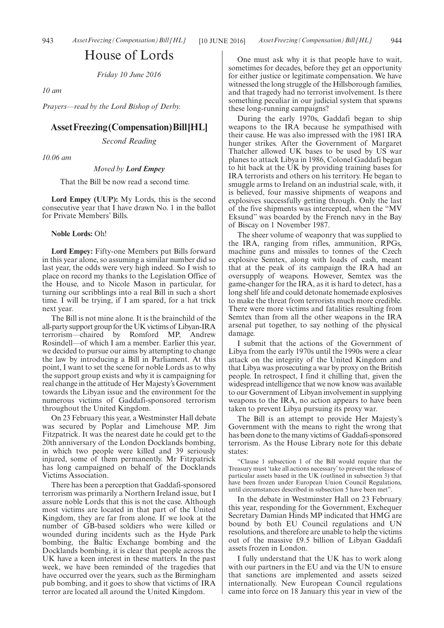# House of Lords

*Friday 10 June 2016*

*10 am*

*Prayers—read by the Lord Bishop of Derby.*

#### **AssetFreezing(Compensation)Bill[HL]**

*Second Reading*

*10.06 am*

*Moved by Lord Empey*

That the Bill be now read a second time.

**Lord Empey (UUP):** My Lords, this is the second consecutive year that I have drawn No. 1 in the ballot for Private Members' Bills.

#### **Noble Lords:** Oh!

**Lord Empey:** Fifty-one Members put Bills forward in this year alone, so assuming a similar number did so last year, the odds were very high indeed. So I wish to place on record my thanks to the Legislation Office of the House, and to Nicole Mason in particular, for turning our scribblings into a real Bill in such a short time. I will be trying, if I am spared, for a hat trick next year.

The Bill is not mine alone. It is the brainchild of the all-party support group for the UK victims of Libyan-IRA terrorism—chaired by Romford MP, Andrew Rosindell—of which I am a member. Earlier this year, we decided to pursue our aims by attempting to change the law by introducing a Bill in Parliament. At this point, I want to set the scene for noble Lords as to why the support group exists and why it is campaigning for real change in the attitude of Her Majesty's Government towards the Libyan issue and the environment for the numerous victims of Gaddafi-sponsored terrorism throughout the United Kingdom.

On 23 February this year, a Westminster Hall debate was secured by Poplar and Limehouse MP, Jim Fitzpatrick. It was the nearest date he could get to the 20th anniversary of the London Docklands bombing, in which two people were killed and 39 seriously injured, some of them permanently. Mr Fitzpatrick has long campaigned on behalf of the Docklands Victims Association.

There has been a perception that Gaddafi-sponsored terrorism was primarily a Northern Ireland issue, but I assure noble Lords that this is not the case. Although most victims are located in that part of the United Kingdom, they are far from alone. If we look at the number of GB-based soldiers who were killed or wounded during incidents such as the Hyde Park bombing, the Baltic Exchange bombing and the Docklands bombing, it is clear that people across the UK have a keen interest in these matters. In the past week, we have been reminded of the tragedies that have occurred over the years, such as the Birmingham pub bombing, and it goes to show that victims of IRA terror are located all around the United Kingdom.

One must ask why it is that people have to wait, sometimes for decades, before they get an opportunity for either justice or legitimate compensation. We have witnessed the long struggle of the Hillsborough families, and that tragedy had no terrorist involvement. Is there something peculiar in our judicial system that spawns these long-running campaigns?

During the early 1970s, Gaddafi began to ship weapons to the IRA because he sympathised with their cause. He was also impressed with the 1981 IRA hunger strikes. After the Government of Margaret Thatcher allowed UK bases to be used by US war planes to attack Libya in 1986, Colonel Gaddafi began to hit back at the UK by providing training bases for IRA terrorists and others on his territory. He began to smuggle arms to Ireland on an industrial scale, with, it is believed, four massive shipments of weapons and explosives successfully getting through. Only the last of the five shipments was intercepted, when the "MV Eksund" was boarded by the French navy in the Bay of Biscay on 1 November 1987.

The sheer volume of weaponry that was supplied to the IRA, ranging from rifles, ammunition, RPGs, machine guns and missiles to tonnes of the Czech explosive Semtex, along with loads of cash, meant that at the peak of its campaign the IRA had an oversupply of weapons. However, Semtex was the game-changer for the IRA, as it is hard to detect, has a long shelf life and could detonate homemade explosives to make the threat from terrorists much more credible. There were more victims and fatalities resulting from Semtex than from all the other weapons in the IRA arsenal put together, to say nothing of the physical damage.

I submit that the actions of the Government of Libya from the early 1970s until the 1990s were a clear attack on the integrity of the United Kingdom and that Libya was prosecuting a war by proxy on the British people. In retrospect, I find it chilling that, given the widespread intelligence that we now know was available to our Government of Libyan involvement in supplying weapons to the IRA, no action appears to have been taken to prevent Libya pursuing its proxy war.

The Bill is an attempt to provide Her Majesty's Government with the means to right the wrong that has been done to the many victims of Gaddafi-sponsored terrorism. As the House Library note for this debate states:

"Clause 1 subsection 1 of the Bill would require that the Treasury must 'take all actions necessary' to prevent the release of particular assets based in the UK (outlined in subsection 3) that have been frozen under European Union Council Regulations, until circumstances described in subsection 5 have been met".

In the debate in Westminster Hall on 23 February this year, responding for the Government, Exchequer Secretary Damian Hinds MP indicated that HMG are bound by both EU Council regulations and UN resolutions, and therefore are unable to help the victims out of the massive £9.5 billion of Libyan Gaddafi assets frozen in London.

I fully understand that the UK has to work along with our partners in the EU and via the UN to ensure that sanctions are implemented and assets seized internationally. New European Council regulations came into force on 18 January this year in view of the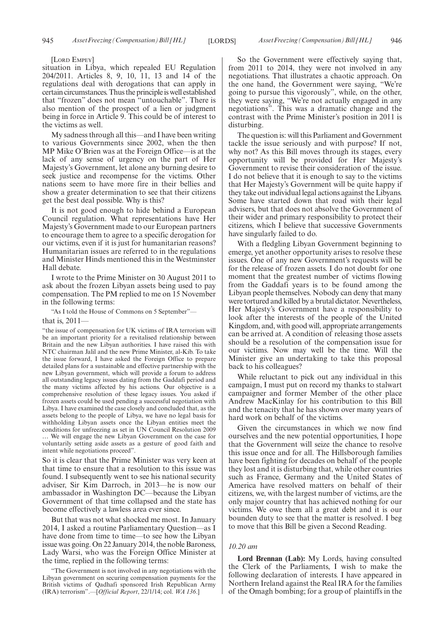[LORD EMPEY]

situation in Libya, which repealed EU Regulation 204/2011. Articles 8, 9, 10, 11, 13 and 14 of the regulations deal with derogations that can apply in certain circumstances. Thus the principle is well established that "frozen" does not mean "untouchable". There is also mention of the prospect of a lien or judgment being in force in Article 9. This could be of interest to the victims as well.

My sadness through all this—and I have been writing to various Governments since 2002, when the then MP Mike O'Brien was at the Foreign Office—is at the lack of any sense of urgency on the part of Her Majesty's Government, let alone any burning desire to seek justice and recompense for the victims. Other nations seem to have more fire in their bellies and show a greater determination to see that their citizens get the best deal possible. Why is this?

It is not good enough to hide behind a European Council regulation. What representations have Her Majesty's Government made to our European partners to encourage them to agree to a specific derogation for our victims, even if it is just for humanitarian reasons? Humanitarian issues are referred to in the regulations and Minister Hinds mentioned this in the Westminster Hall debate.

I wrote to the Prime Minister on 30 August 2011 to ask about the frozen Libyan assets being used to pay compensation. The PM replied to me on 15 November in the following terms:

"As I told the House of Commons on 5 September"—

that is, 2011—

"the issue of compensation for UK victims of IRA terrorism will be an important priority for a revitalised relationship between Britain and the new Libyan authorities. I have raised this with NTC chairman Jalil and the new Prime Minister, al-Kib. To take the issue forward, I have asked the Foreign Office to prepare detailed plans for a sustainable and effective partnership with the new Libyan government, which will provide a forum to address all outstanding legacy issues dating from the Gaddafi period and the many victims affected by his actions. Our objective is a comprehensive resolution of these legacy issues. You asked if frozen assets could be used pending a successful negotiation with Libya. I have examined the case closely and concluded that, as the assets belong to the people of Libya, we have no legal basis for withholding Libyan assets once the Libyan entities meet the conditions for unfreezing as set in UN Council Resolution 2009

… We will engage the new Libyan Government on the case for voluntarily setting aside assets as a gesture of good faith and intent while negotiations proceed".

So it is clear that the Prime Minister was very keen at that time to ensure that a resolution to this issue was found. I subsequently went to see his national security adviser, Sir Kim Darroch, in 2013—he is now our ambassador in Washington DC—because the Libyan Government of that time collapsed and the state has become effectively a lawless area ever since.

But that was not what shocked me most. In January 2014, I asked a routine Parliamentary Question—as I have done from time to time—to see how the Libyan issue was going. On 22 January 2014, the noble Baroness, Lady Warsi, who was the Foreign Office Minister at the time, replied in the following terms:

"The Government is not involved in any negotiations with the Libyan government on securing compensation payments for the British victims of Qadhafi sponsored Irish Republican Army (IRA) terrorism".—[*Official Report*, 22/1/14; col. *WA 136*.]

So the Government were effectively saying that, from 2011 to 2014, they were not involved in any negotiations. That illustrates a chaotic approach. On the one hand, the Government were saying, "We're going to pursue this vigorously", while, on the other, they were saying, "We're not actually engaged in any negotiations". This was a dramatic change and the contrast with the Prime Minister's position in 2011 is disturbing.

The question is: will this Parliament and Government tackle the issue seriously and with purpose? If not, why not? As this Bill moves through its stages, every opportunity will be provided for Her Majesty's Government to revise their consideration of the issue. I do not believe that it is enough to say to the victims that Her Majesty's Government will be quite happy if they take out individual legal actions against the Libyans. Some have started down that road with their legal advisers, but that does not absolve the Government of their wider and primary responsibility to protect their citizens, which I believe that successive Governments have singularly failed to do.

With a fledgling Libyan Government beginning to emerge, yet another opportunity arises to resolve these issues. One of any new Government's requests will be for the release of frozen assets. I do not doubt for one moment that the greatest number of victims flowing from the Gaddafi years is to be found among the Libyan people themselves. Nobody can deny that many were tortured and killed by a brutal dictator. Nevertheless, Her Majesty's Government have a responsibility to look after the interests of the people of the United Kingdom, and, with good will, appropriate arrangements can be arrived at. A condition of releasing those assets should be a resolution of the compensation issue for our victims. Now may well be the time. Will the Minister give an undertaking to take this proposal back to his colleagues?

While reluctant to pick out any individual in this campaign, I must put on record my thanks to stalwart campaigner and former Member of the other place Andrew MacKinlay for his contribution to this Bill and the tenacity that he has shown over many years of hard work on behalf of the victims.

Given the circumstances in which we now find ourselves and the new potential opportunities, I hope that the Government will seize the chance to resolve this issue once and for all. The Hillsborough families have been fighting for decades on behalf of the people they lost and it is disturbing that, while other countries such as France, Germany and the United States of America have resolved matters on behalf of their citizens, we, with the largest number of victims, are the only major country that has achieved nothing for our victims. We owe them all a great debt and it is our bounden duty to see that the matter is resolved. I beg to move that this Bill be given a Second Reading.

#### *10.20 am*

**Lord Brennan (Lab):** My Lords, having consulted the Clerk of the Parliaments, I wish to make the following declaration of interests. I have appeared in Northern Ireland against the Real IRA for the families of the Omagh bombing; for a group of plaintiffs in the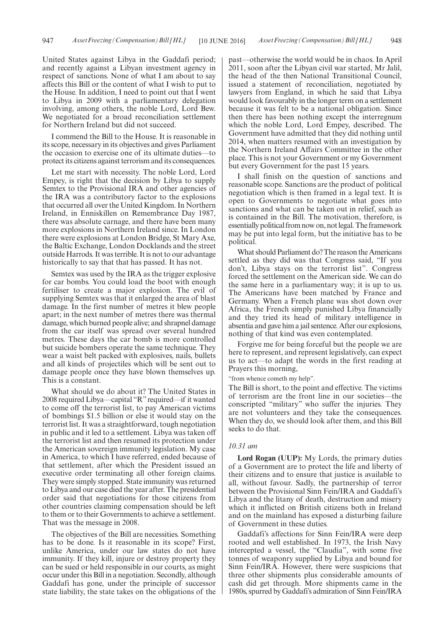United States against Libya in the Gaddafi period; and recently against a Libyan investment agency in respect of sanctions. None of what I am about to say affects this Bill or the content of what I wish to put to the House. In addition, I need to point out that I went to Libya in 2009 with a parliamentary delegation involving, among others, the noble Lord, Lord Bew. We negotiated for a broad reconciliation settlement for Northern Ireland but did not succeed.

I commend the Bill to the House. It is reasonable in its scope, necessary in its objectives and gives Parliament the occasion to exercise one of its ultimate duties—to protect its citizens against terrorism and its consequences.

Let me start with necessity. The noble Lord, Lord Empey, is right that the decision by Libya to supply Semtex to the Provisional IRA and other agencies of the IRA was a contributory factor to the explosions that occurred all over the United Kingdom. In Northern Ireland, in Enniskillen on Remembrance Day 1987, there was absolute carnage, and there have been many more explosions in Northern Ireland since. In London there were explosions at London Bridge, St Mary Axe, the Baltic Exchange, London Docklands and the street outside Harrods. It was terrible. It is not to our advantage historically to say that that has passed. It has not.

Semtex was used by the IRA as the trigger explosive for car bombs. You could load the boot with enough fertiliser to create a major explosion. The evil of supplying Semtex was that it enlarged the area of blast damage. In the first number of metres it blew people apart; in the next number of metres there was thermal damage, which burned people alive; and shrapnel damage from the car itself was spread over several hundred metres. These days the car bomb is more controlled but suicide bombers operate the same technique. They wear a waist belt packed with explosives, nails, bullets and all kinds of projectiles which will be sent out to damage people once they have blown themselves up. This is a constant.

What should we do about it? The United States in 2008 required Libya—capital "R"required—if it wanted to come off the terrorist list, to pay American victims of bombings \$1.5 billion or else it would stay on the terrorist list. It was a straightforward, tough negotiation in public and it led to a settlement. Libya was taken off the terrorist list and then resumed its protection under the American sovereign immunity legislation. My case in America, to which I have referred, ended because of that settlement, after which the President issued an executive order terminating all other foreign claims. They were simply stopped. State immunity was returned to Libya and our case died the year after. The presidential order said that negotiations for those citizens from other countries claiming compensation should be left to them or to their Governments to achieve a settlement. That was the message in 2008.

The objectives of the Bill are necessities. Something has to be done. Is it reasonable in its scope? First, unlike America, under our law states do not have immunity. If they kill, injure or destroy property they can be sued or held responsible in our courts, as might occur under this Bill in a negotiation. Secondly, although Gaddafi has gone, under the principle of successor state liability, the state takes on the obligations of the

past—otherwise the world would be in chaos. In April 2011, soon after the Libyan civil war started, Mr Jalil, the head of the then National Transitional Council, issued a statement of reconciliation, negotiated by lawyers from England, in which he said that Libya would look favourably in the longer term on a settlement because it was felt to be a national obligation. Since then there has been nothing except the interregnum which the noble Lord, Lord Empey, described. The Government have admitted that they did nothing until 2014, when matters resumed with an investigation by the Northern Ireland Affairs Committee in the other place. This is not your Government or my Government but every Government for the past 15 years.

I shall finish on the question of sanctions and reasonable scope. Sanctions are the product of political negotiation which is then framed in a legal text. It is open to Governments to negotiate what goes into sanctions and what can be taken out in relief, such as is contained in the Bill. The motivation, therefore, is essentially political from now on, not legal. The framework may be put into legal form, but the initiative has to be political.

What should Parliament do? The reason the Americans settled as they did was that Congress said, "If you don't, Libya stays on the terrorist list". Congress forced the settlement on the American side. We can do the same here in a parliamentary way; it is up to us. The Americans have been matched by France and Germany. When a French plane was shot down over Africa, the French simply punished Libya financially and they tried its head of military intelligence in absentia and gave him a jail sentence. After our explosions, nothing of that kind was even contemplated.

Forgive me for being forceful but the people we are here to represent, and represent legislatively, can expect us to act—to adapt the words in the first reading at Prayers this morning,

"from whence cometh my help".

The Bill is short, to the point and effective. The victims of terrorism are the front line in our societies—the conscripted "military" who suffer the injuries. They are not volunteers and they take the consequences. When they do, we should look after them, and this Bill seeks to do that.

#### *10.31 am*

**Lord Rogan (UUP):** My Lords, the primary duties of a Government are to protect the life and liberty of their citizens and to ensure that justice is available to all, without favour. Sadly, the partnership of terror between the Provisional Sinn Fein/IRA and Gaddafi's Libya and the litany of death, destruction and misery which it inflicted on British citizens both in Ireland and on the mainland has exposed a disturbing failure of Government in these duties.

Gaddafi's affections for Sinn Fein/IRA were deep rooted and well established. In 1973, the Irish Navy intercepted a vessel, the "Claudia", with some five tonnes of weaponry supplied by Libya and bound for Sinn Fein/IRA. However, there were suspicions that three other shipments plus considerable amounts of cash did get through. More shipments came in the 1980s, spurred by Gaddafi's admiration of Sinn Fein/IRA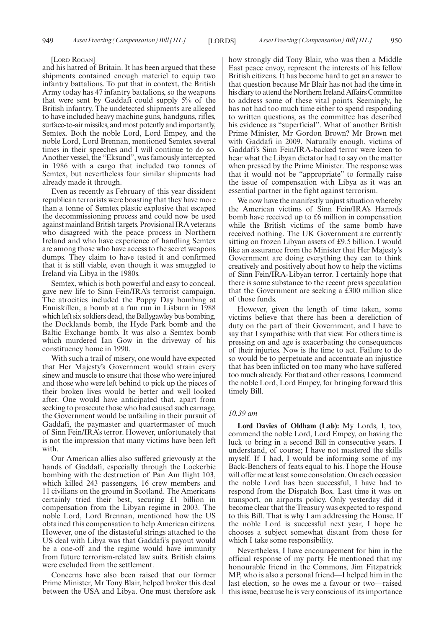#### [LORD ROGAN]

and his hatred of Britain. It has been argued that these shipments contained enough materiel to equip two infantry battalions. To put that in context, the British Army today has 47 infantry battalions, so the weapons that were sent by Gaddafi could supply 5% of the British infantry. The undetected shipments are alleged to have included heavy machine guns, handguns, rifles, surface-to-air missiles, and most potently and importantly, Semtex. Both the noble Lord, Lord Empey, and the noble Lord, Lord Brennan, mentioned Semtex several times in their speeches and I will continue to do so. Another vessel, the "Eksund", was famously intercepted in 1986 with a cargo that included two tonnes of Semtex, but nevertheless four similar shipments had already made it through.

Even as recently as February of this year dissident republican terrorists were boasting that they have more than a tonne of Semtex plastic explosive that escaped the decommissioning process and could now be used against mainland British targets. Provisional IRA veterans who disagreed with the peace process in Northern Ireland and who have experience of handling Semtex are among those who have access to the secret weapons dumps. They claim to have tested it and confirmed that it is still viable, even though it was smuggled to Ireland via Libya in the 1980s.

Semtex, which is both powerful and easy to conceal, gave new life to Sinn Fein/IRA's terrorist campaign. The atrocities included the Poppy Day bombing at Enniskillen, a bomb at a fun run in Lisburn in 1988 which left six soldiers dead, the Ballygawley bus bombing, the Docklands bomb, the Hyde Park bomb and the Baltic Exchange bomb. It was also a Semtex bomb which murdered Ian Gow in the driveway of his constituency home in 1990.

With such a trail of misery, one would have expected that Her Majesty's Government would strain every sinew and muscle to ensure that those who were injured and those who were left behind to pick up the pieces of their broken lives would be better and well looked after. One would have anticipated that, apart from seeking to prosecute those who had caused such carnage, the Government would be unfailing in their pursuit of Gaddafi, the paymaster and quartermaster of much of Sinn Fein/IRA's terror. However, unfortunately that is not the impression that many victims have been left with.

Our American allies also suffered grievously at the hands of Gaddafi, especially through the Lockerbie bombing with the destruction of Pan Am flight 103, which killed 243 passengers, 16 crew members and 11 civilians on the ground in Scotland. The Americans certainly tried their best, securing £1 billion in compensation from the Libyan regime in 2003. The noble Lord, Lord Brennan, mentioned how the US obtained this compensation to help American citizens. However, one of the distasteful strings attached to the US deal with Libya was that Gaddafi's payout would be a one-off and the regime would have immunity from future terrorism-related law suits. British claims were excluded from the settlement.

Concerns have also been raised that our former Prime Minister, Mr Tony Blair, helped broker this deal between the USA and Libya. One must therefore ask how strongly did Tony Blair, who was then a Middle East peace envoy, represent the interests of his fellow British citizens. It has become hard to get an answer to that question because Mr Blair has not had the time in his diary to attend the Northern Ireland Affairs Committee to address some of these vital points. Seemingly, he has not had too much time either to spend responding to written questions, as the committee has described his evidence as "superficial". What of another British Prime Minister, Mr Gordon Brown? Mr Brown met with Gaddafi in 2009. Naturally enough, victims of Gaddafi's Sinn Fein/IRA-backed terror were keen to hear what the Libyan dictator had to say on the matter when pressed by the Prime Minister. The response was that it would not be "appropriate" to formally raise the issue of compensation with Libya as it was an essential partner in the fight against terrorism.

We now have the manifestly unjust situation whereby the American victims of Sinn Fein/IRA's Harrods bomb have received up to £6 million in compensation while the British victims of the same bomb have received nothing. The UK Government are currently sitting on frozen Libyan assets of £9.5 billion. I would like an assurance from the Minister that Her Majesty's Government are doing everything they can to think creatively and positively about how to help the victims of Sinn Fein/IRA-Libyan terror. I certainly hope that there is some substance to the recent press speculation that the Government are seeking a  $\overline{£}300$  million slice of those funds.

However, given the length of time taken, some victims believe that there has been a dereliction of duty on the part of their Government, and I have to say that I sympathise with that view. For others time is pressing on and age is exacerbating the consequences of their injuries. Now is the time to act. Failure to do so would be to perpetuate and accentuate an injustice that has been inflicted on too many who have suffered too much already. For that and other reasons, I commend the noble Lord, Lord Empey, for bringing forward this timely Bill.

#### *10.39 am*

**Lord Davies of Oldham (Lab):** My Lords, I, too, commend the noble Lord, Lord Empey, on having the luck to bring in a second Bill in consecutive years. I understand, of course; I have not mastered the skills myself. If I had, I would be informing some of my Back-Benchers of feats equal to his. I hope the House will offer me at least some consolation. On each occasion the noble Lord has been successful, I have had to respond from the Dispatch Box. Last time it was on transport, on airports policy. Only yesterday did it become clear that the Treasury was expected to respond to this Bill. That is why I am addressing the House. If the noble Lord is successful next year, I hope he chooses a subject somewhat distant from those for which I take some responsibility.

Nevertheless, I have encouragement for him in the official response of my party. He mentioned that my honourable friend in the Commons, Jim Fitzpatrick MP, who is also a personal friend—I helped him in the last election, so he owes me a favour or two—raised this issue, because he is very conscious of its importance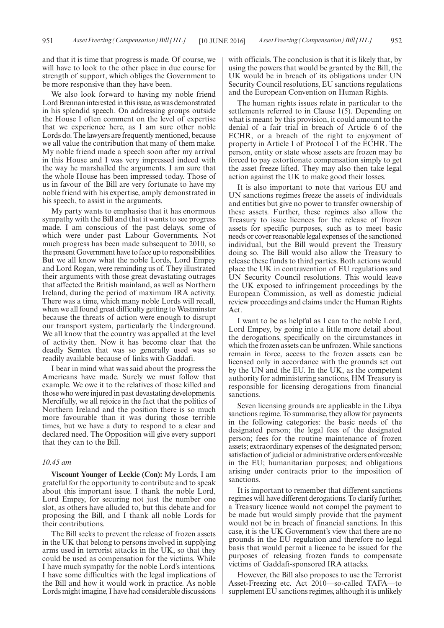and that it is time that progress is made. Of course, we will have to look to the other place in due course for strength of support, which obliges the Government to be more responsive than they have been.

We also look forward to having my noble friend Lord Brennan interested in this issue, as was demonstrated in his splendid speech. On addressing groups outside the House I often comment on the level of expertise that we experience here, as I am sure other noble Lords do. The lawyers are frequently mentioned, because we all value the contribution that many of them make. My noble friend made a speech soon after my arrival in this House and I was very impressed indeed with the way he marshalled the arguments. I am sure that the whole House has been impressed today. Those of us in favour of the Bill are very fortunate to have my noble friend with his expertise, amply demonstrated in his speech, to assist in the arguments.

My party wants to emphasise that it has enormous sympathy with the Bill and that it wants to see progress made. I am conscious of the past delays, some of which were under past Labour Governments. Not much progress has been made subsequent to 2010, so the present Government have to face up to responsibilities. But we all know what the noble Lords, Lord Empey and Lord Rogan, were reminding us of. They illustrated their arguments with those great devastating outrages that affected the British mainland, as well as Northern Ireland, during the period of maximum IRA activity. There was a time, which many noble Lords will recall, when we all found great difficulty getting to Westminster because the threats of action were enough to disrupt our transport system, particularly the Underground. We all know that the country was appalled at the level of activity then. Now it has become clear that the deadly Semtex that was so generally used was so readily available because of links with Gaddafi.

I bear in mind what was said about the progress the Americans have made. Surely we must follow that example. We owe it to the relatives of those killed and those who were injured in past devastating developments. Mercifully, we all rejoice in the fact that the politics of Northern Ireland and the position there is so much more favourable than it was during those terrible times, but we have a duty to respond to a clear and declared need. The Opposition will give every support that they can to the Bill.

#### *10.45 am*

**Viscount Younger of Leckie (Con):** My Lords, I am grateful for the opportunity to contribute and to speak about this important issue. I thank the noble Lord, Lord Empey, for securing not just the number one slot, as others have alluded to, but this debate and for proposing the Bill, and I thank all noble Lords for their contributions.

The Bill seeks to prevent the release of frozen assets in the UK that belong to persons involved in supplying arms used in terrorist attacks in the UK, so that they could be used as compensation for the victims. While I have much sympathy for the noble Lord's intentions, I have some difficulties with the legal implications of the Bill and how it would work in practice. As noble Lords might imagine, I have had considerable discussions

with officials. The conclusion is that it is likely that, by using the powers that would be granted by the Bill, the UK would be in breach of its obligations under UN Security Council resolutions, EU sanctions regulations and the European Convention on Human Rights.

The human rights issues relate in particular to the settlements referred to in Clause 1(5). Depending on what is meant by this provision, it could amount to the denial of a fair trial in breach of Article 6 of the ECHR, or a breach of the right to enjoyment of property in Article 1 of Protocol 1 of the ECHR. The person, entity or state whose assets are frozen may be forced to pay extortionate compensation simply to get the asset freeze lifted. They may also then take legal action against the UK to make good their losses.

It is also important to note that various EU and UN sanctions regimes freeze the assets of individuals and entities but give no power to transfer ownership of these assets. Further, these regimes also allow the Treasury to issue licences for the release of frozen assets for specific purposes, such as to meet basic needs or cover reasonable legal expenses of the sanctioned individual, but the Bill would prevent the Treasury doing so. The Bill would also allow the Treasury to release these funds to third parties. Both actions would place the UK in contravention of EU regulations and UN Security Council resolutions. This would leave the UK exposed to infringement proceedings by the European Commission, as well as domestic judicial review proceedings and claims under the Human Rights Act.

I want to be as helpful as I can to the noble Lord, Lord Empey, by going into a little more detail about the derogations, specifically on the circumstances in which the frozen assets can be unfrozen. While sanctions remain in force, access to the frozen assets can be licensed only in accordance with the grounds set out by the UN and the EU. In the UK, as the competent authority for administering sanctions, HM Treasury is responsible for licensing derogations from financial sanctions.

Seven licensing grounds are applicable in the Libya sanctions regime. To summarise, they allow for payments in the following categories: the basic needs of the designated person; the legal fees of the designated person; fees for the routine maintenance of frozen assets; extraordinary expenses of the designated person; satisfaction of judicial or administrative orders enforceable in the EU; humanitarian purposes; and obligations arising under contracts prior to the imposition of sanctions.

It is important to remember that different sanctions regimes will have different derogations. To clarify further, a Treasury licence would not compel the payment to be made but would simply provide that the payment would not be in breach of financial sanctions. In this case, it is the UK Government's view that there are no grounds in the EU regulation and therefore no legal basis that would permit a licence to be issued for the purposes of releasing frozen funds to compensate victims of Gaddafi-sponsored IRA attacks.

However, the Bill also proposes to use the Terrorist Asset-Freezing etc. Act 2010—so-called TAFA—to supplement EU sanctions regimes, although it is unlikely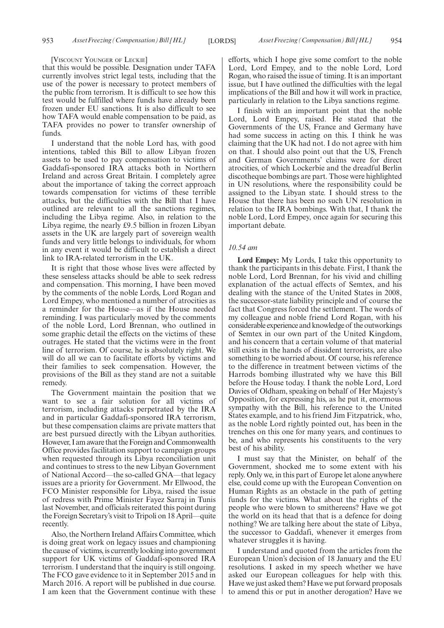#### [VISCOUNT YOUNGER OF LECKIE]

that this would be possible. Designation under TAFA currently involves strict legal tests, including that the use of the power is necessary to protect members of the public from terrorism. It is difficult to see how this test would be fulfilled where funds have already been frozen under EU sanctions. It is also difficult to see how TAFA would enable compensation to be paid, as TAFA provides no power to transfer ownership of funds.

I understand that the noble Lord has, with good intentions, tabled this Bill to allow Libyan frozen assets to be used to pay compensation to victims of Gaddafi-sponsored IRA attacks both in Northern Ireland and across Great Britain. I completely agree about the importance of taking the correct approach towards compensation for victims of these terrible attacks, but the difficulties with the Bill that I have outlined are relevant to all the sanctions regimes, including the Libya regime. Also, in relation to the Libya regime, the nearly £9.5 billion in frozen Libyan assets in the UK are largely part of sovereign wealth funds and very little belongs to individuals, for whom in any event it would be difficult to establish a direct link to IRA-related terrorism in the UK.

It is right that those whose lives were affected by these senseless attacks should be able to seek redress and compensation. This morning, I have been moved by the comments of the noble Lords, Lord Rogan and Lord Empey, who mentioned a number of atrocities as a reminder for the House—as if the House needed reminding. I was particularly moved by the comments of the noble Lord, Lord Brennan, who outlined in some graphic detail the effects on the victims of these outrages. He stated that the victims were in the front line of terrorism. Of course, he is absolutely right. We will do all we can to facilitate efforts by victims and their families to seek compensation. However, the provisions of the Bill as they stand are not a suitable remedy.

The Government maintain the position that we want to see a fair solution for all victims of terrorism, including attacks perpetrated by the IRA and in particular Gaddafi-sponsored IRA terrorism, but these compensation claims are private matters that are best pursued directly with the Libyan authorities. However, I am aware that the Foreign and Commonwealth Office provides facilitation support to campaign groups when requested through its Libya reconciliation unit and continues to stress to the new Libyan Government of National Accord—the so-called GNA—that legacy issues are a priority for Government. Mr Ellwood, the FCO Minister responsible for Libya, raised the issue of redress with Prime Minister Fayez Sarraj in Tunis last November, and officials reiterated this point during the Foreign Secretary's visit to Tripoli on 18 April—quite recently.

Also, the Northern Ireland Affairs Committee, which is doing great work on legacy issues and championing the cause of victims, is currently looking into government support for UK victims of Gaddafi-sponsored IRA terrorism. I understand that the inquiry is still ongoing. The FCO gave evidence to it in September 2015 and in March 2016. A report will be published in due course. I am keen that the Government continue with these

efforts, which I hope give some comfort to the noble Lord, Lord Empey, and to the noble Lord, Lord Rogan, who raised the issue of timing. It is an important issue, but I have outlined the difficulties with the legal implications of the Bill and how it will work in practice, particularly in relation to the Libya sanctions regime.

I finish with an important point that the noble Lord, Lord Empey, raised. He stated that the Governments of the US, France and Germany have had some success in acting on this. I think he was claiming that the UK had not. I do not agree with him on that. I should also point out that the US, French and German Governments' claims were for direct atrocities, of which Lockerbie and the dreadful Berlin discotheque bombings are part. Those were highlighted in UN resolutions, where the responsibility could be assigned to the Libyan state. I should stress to the House that there has been no such UN resolution in relation to the IRA bombings. With that, I thank the noble Lord, Lord Empey, once again for securing this important debate.

#### *10.54 am*

**Lord Empey:** My Lords, I take this opportunity to thank the participants in this debate. First, I thank the noble Lord, Lord Brennan, for his vivid and chilling explanation of the actual effects of Semtex, and his dealing with the stance of the United States in 2008, the successor-state liability principle and of course the fact that Congress forced the settlement. The words of my colleague and noble friend Lord Rogan, with his considerable experience and knowledge of the outworkings of Semtex in our own part of the United Kingdom, and his concern that a certain volume of that material still exists in the hands of dissident terrorists, are also something to be worried about. Of course, his reference to the difference in treatment between victims of the Harrods bombing illustrated why we have this Bill before the House today. I thank the noble Lord, Lord Davies of Oldham, speaking on behalf of Her Majesty's Opposition, for expressing his, as he put it, enormous sympathy with the Bill, his reference to the United States example, and to his friend Jim Fitzpatrick, who, as the noble Lord rightly pointed out, has been in the trenches on this one for many years, and continues to be, and who represents his constituents to the very best of his ability.

I must say that the Minister, on behalf of the Government, shocked me to some extent with his reply. Only we, in this part of Europe let alone anywhere else, could come up with the European Convention on Human Rights as an obstacle in the path of getting funds for the victims. What about the rights of the people who were blown to smithereens? Have we got the world on its head that that is a defence for doing nothing? We are talking here about the state of Libya, the successor to Gaddafi, whenever it emerges from whatever struggles it is having.

I understand and quoted from the articles from the European Union's decision of 18 January and the EU resolutions. I asked in my speech whether we have asked our European colleagues for help with this. Have we just asked them? Have we put forward proposals to amend this or put in another derogation? Have we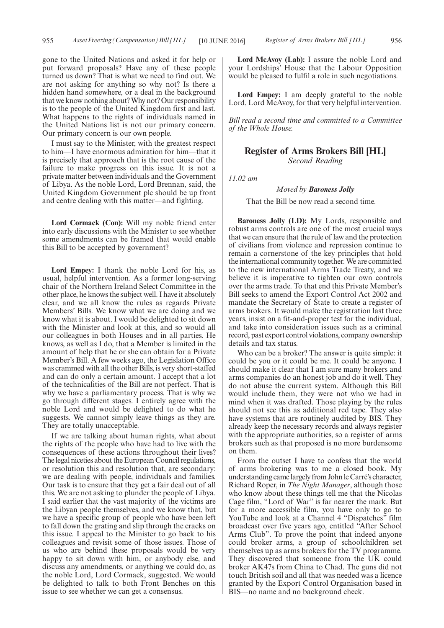gone to the United Nations and asked it for help or put forward proposals? Have any of these people turned us down? That is what we need to find out. We are not asking for anything so why not? Is there a hidden hand somewhere, or a deal in the background that we know nothing about? Why not? Our responsibility is to the people of the United Kingdom first and last. What happens to the rights of individuals named in the United Nations list is not our primary concern. Our primary concern is our own people.

I must say to the Minister, with the greatest respect to him—I have enormous admiration for him—that it is precisely that approach that is the root cause of the failure to make progress on this issue. It is not a private matter between individuals and the Government of Libya. As the noble Lord, Lord Brennan, said, the United Kingdom Government plc should be up front and centre dealing with this matter—and fighting.

**Lord Cormack (Con):** Will my noble friend enter into early discussions with the Minister to see whether some amendments can be framed that would enable this Bill to be accepted by government?

**Lord Empey:** I thank the noble Lord for his, as usual, helpful intervention. As a former long-serving chair of the Northern Ireland Select Committee in the other place, he knows the subject well. I have it absolutely clear, and we all know the rules as regards Private Members' Bills. We know what we are doing and we know what it is about. I would be delighted to sit down with the Minister and look at this, and so would all our colleagues in both Houses and in all parties. He knows, as well as I do, that a Member is limited in the amount of help that he or she can obtain for a Private Member's Bill. A few weeks ago, the Legislation Office was crammed with all the other Bills, is very short-staffed and can do only a certain amount. I accept that a lot of the technicalities of the Bill are not perfect. That is why we have a parliamentary process. That is why we go through different stages. I entirely agree with the noble Lord and would be delighted to do what he suggests. We cannot simply leave things as they are. They are totally unacceptable.

If we are talking about human rights, what about the rights of the people who have had to live with the consequences of these actions throughout their lives? The legal niceties about the European Council regulations, or resolution this and resolution that, are secondary: we are dealing with people, individuals and families. Our task is to ensure that they get a fair deal out of all this. We are not asking to plunder the people of Libya. I said earlier that the vast majority of the victims are the Libyan people themselves, and we know that, but we have a specific group of people who have been left to fall down the grating and slip through the cracks on this issue. I appeal to the Minister to go back to his colleagues and revisit some of those issues. Those of us who are behind these proposals would be very happy to sit down with him, or anybody else, and discuss any amendments, or anything we could do, as the noble Lord, Lord Cormack, suggested. We would be delighted to talk to both Front Benches on this issue to see whether we can get a consensus.

**Lord McAvoy (Lab):** I assure the noble Lord and your Lordships' House that the Labour Opposition would be pleased to fulfil a role in such negotiations.

**Lord Empey:** I am deeply grateful to the noble Lord, Lord McAvoy, for that very helpful intervention.

*Bill read a second time and committed to a Committee of the Whole House.*

#### **Register of Arms Brokers Bill [HL]** *Second Reading*

*11.02 am*

#### *Moved by Baroness Jolly*

That the Bill be now read a second time.

**Baroness Jolly (LD):** My Lords, responsible and robust arms controls are one of the most crucial ways that we can ensure that the rule of law and the protection of civilians from violence and repression continue to remain a cornerstone of the key principles that hold the international community together. We are committed to the new international Arms Trade Treaty, and we believe it is imperative to tighten our own controls over the arms trade. To that end this Private Member's Bill seeks to amend the Export Control Act 2002 and mandate the Secretary of State to create a register of arms brokers. It would make the registration last three years, insist on a fit-and-proper test for the individual, and take into consideration issues such as a criminal record, past export control violations, company ownership details and tax status.

Who can be a broker? The answer is quite simple: it could be you or it could be me. It could be anyone. I should make it clear that I am sure many brokers and arms companies do an honest job and do it well. They do not abuse the current system. Although this Bill would include them, they were not who we had in mind when it was drafted. Those playing by the rules should not see this as additional red tape. They also have systems that are routinely audited by BIS. They already keep the necessary records and always register with the appropriate authorities, so a register of arms brokers such as that proposed is no more burdensome on them.

From the outset I have to confess that the world of arms brokering was to me a closed book. My understanding came largely from John le Carré's character, Richard Roper, in *The Night Manager*, although those who know about these things tell me that the Nicolas Cage film, "Lord of War" is far nearer the mark. But for a more accessible film, you have only to go to YouTube and look at a Channel 4 "Dispatches" film broadcast over five years ago, entitled "After School Arms Club". To prove the point that indeed anyone could broker arms, a group of schoolchildren set themselves up as arms brokers for the TV programme. They discovered that someone from the UK could broker AK47s from China to Chad. The guns did not touch British soil and all that was needed was a licence granted by the Export Control Organisation based in BIS—no name and no background check.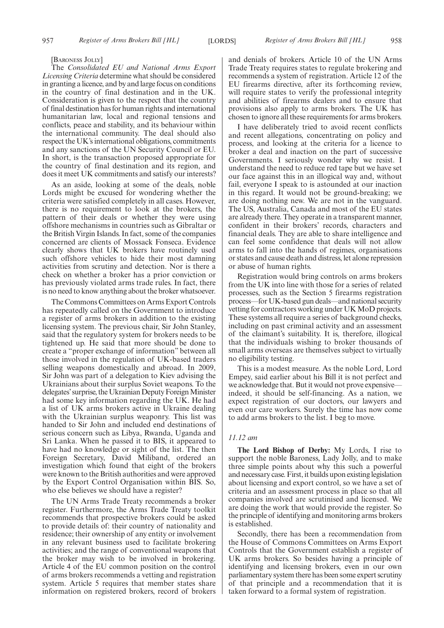[BARONESS JOLLY]

The *Consolidated EU and National Arms Export Licensing Criteria* determine what should be considered in granting a licence, and by and large focus on conditions in the country of final destination and in the UK. Consideration is given to the respect that the country of final destination has for human rights and international humanitarian law, local and regional tensions and conflicts, peace and stability, and its behaviour within the international community. The deal should also respect the UK's international obligations, commitments and any sanctions of the UN Security Council or EU. In short, is the transaction proposed appropriate for the country of final destination and its region, and does it meet UK commitments and satisfy our interests?

As an aside, looking at some of the deals, noble Lords might be excused for wondering whether the criteria were satisfied completely in all cases. However, there is no requirement to look at the brokers, the pattern of their deals or whether they were using offshore mechanisms in countries such as Gibraltar or the British Virgin Islands. In fact, some of the companies concerned are clients of Mossack Fonseca. Evidence clearly shows that UK brokers have routinely used such offshore vehicles to hide their most damning activities from scrutiny and detection. Nor is there a check on whether a broker has a prior conviction or has previously violated arms trade rules. In fact, there is no need to know anything about the broker whatsoever.

The Commons Committees on Arms Export Controls has repeatedly called on the Government to introduce a register of arms brokers in addition to the existing licensing system. The previous chair, Sir John Stanley, said that the regulatory system for brokers needs to be tightened up. He said that more should be done to create a "proper exchange of information" between all those involved in the regulation of UK-based traders selling weapons domestically and abroad. In 2009, Sir John was part of a delegation to Kiev advising the Ukrainians about their surplus Soviet weapons. To the delegates'surprise, the Ukrainian Deputy Foreign Minister had some key information regarding the UK. He had a list of UK arms brokers active in Ukraine dealing with the Ukrainian surplus weaponry. This list was handed to Sir John and included end destinations of serious concern such as Libya, Rwanda, Uganda and Sri Lanka. When he passed it to BIS, it appeared to have had no knowledge or sight of the list. The then Foreign Secretary, David Miliband, ordered an investigation which found that eight of the brokers were known to the British authorities and were approved by the Export Control Organisation within BIS. So, who else believes we should have a register?

The UN Arms Trade Treaty recommends a broker register. Furthermore, the Arms Trade Treaty toolkit recommends that prospective brokers could be asked to provide details of: their country of nationality and residence; their ownership of any entity or involvement in any relevant business used to facilitate brokering activities; and the range of conventional weapons that the broker may wish to be involved in brokering. Article 4 of the EU common position on the control of arms brokers recommends a vetting and registration system. Article 5 requires that member states share information on registered brokers, record of brokers and denials of brokers. Article 10 of the UN Arms Trade Treaty requires states to regulate brokering and recommends a system of registration. Article 12 of the EU firearms directive, after its forthcoming review, will require states to verify the professional integrity and abilities of firearms dealers and to ensure that provisions also apply to arms brokers. The UK has chosen to ignore all these requirements for arms brokers.

I have deliberately tried to avoid recent conflicts and recent allegations, concentrating on policy and process, and looking at the criteria for a licence to broker a deal and inaction on the part of successive Governments. I seriously wonder why we resist. I understand the need to reduce red tape but we have set our face against this in an illogical way and, without fail, everyone I speak to is astounded at our inaction in this regard. It would not be ground-breaking; we are doing nothing new. We are not in the vanguard. The US, Australia, Canada and most of the EU states are already there. They operate in a transparent manner, confident in their brokers' records, characters and financial deals. They are able to share intelligence and can feel some confidence that deals will not allow arms to fall into the hands of regimes, organisations or states and cause death and distress, let alone repression or abuse of human rights.

Registration would bring controls on arms brokers from the UK into line with those for a series of related processes, such as the Section 5 firearms registration process—for UK-based gun deals—and national security vetting for contractors working under UK MoD projects. These systems all require a series of background checks, including on past criminal activity and an assessment of the claimant's suitability. It is, therefore, illogical that the individuals wishing to broker thousands of small arms overseas are themselves subject to virtually no eligibility testing.

This is a modest measure. As the noble Lord, Lord Empey, said earlier about his Bill it is not perfect and we acknowledge that. But it would not prove expensive indeed, it should be self-financing. As a nation, we expect registration of our doctors, our lawyers and even our care workers. Surely the time has now come to add arms brokers to the list. I beg to move.

#### *11.12 am*

**The Lord Bishop of Derby:** My Lords, I rise to support the noble Baroness, Lady Jolly, and to make three simple points about why this such a powerful and necessary case. First, it builds upon existing legislation about licensing and export control, so we have a set of criteria and an assessment process in place so that all companies involved are scrutinised and licensed. We are doing the work that would provide the register. So the principle of identifying and monitoring arms brokers is established.

Secondly, there has been a recommendation from the House of Commons Committees on Arms Export Controls that the Government establish a register of UK arms brokers. So besides having a principle of identifying and licensing brokers, even in our own parliamentary system there has been some expert scrutiny of that principle and a recommendation that it is taken forward to a formal system of registration.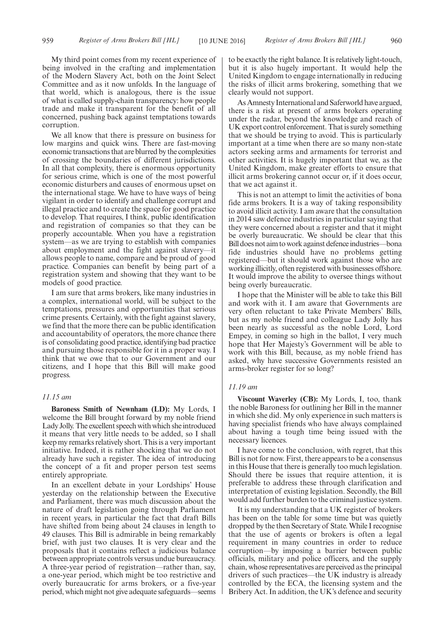My third point comes from my recent experience of being involved in the crafting and implementation of the Modern Slavery Act, both on the Joint Select Committee and as it now unfolds. In the language of that world, which is analogous, there is the issue of what is called supply-chain transparency: how people trade and make it transparent for the benefit of all concerned, pushing back against temptations towards corruption.

We all know that there is pressure on business for low margins and quick wins. There are fast-moving economic transactions that are blurred by the complexities of crossing the boundaries of different jurisdictions. In all that complexity, there is enormous opportunity for serious crime, which is one of the most powerful economic disturbers and causes of enormous upset on the international stage. We have to have ways of being vigilant in order to identify and challenge corrupt and illegal practice and to create the space for good practice to develop. That requires, I think, public identification and registration of companies so that they can be properly accountable. When you have a registration system—as we are trying to establish with companies about employment and the fight against slavery—it allows people to name, compare and be proud of good practice. Companies can benefit by being part of a registration system and showing that they want to be models of good practice.

I am sure that arms brokers, like many industries in a complex, international world, will be subject to the temptations, pressures and opportunities that serious crime presents. Certainly, with the fight against slavery, we find that the more there can be public identification and accountability of operators, the more chance there is of consolidating good practice, identifying bad practice and pursuing those responsible for it in a proper way. I think that we owe that to our Government and our citizens, and I hope that this Bill will make good progress.

#### *11.15 am*

**Baroness Smith of Newnham (LD):** My Lords, I welcome the Bill brought forward by my noble friend Lady Jolly. The excellent speech with which she introduced it means that very little needs to be added, so I shall keep my remarks relatively short. This is a very important initiative. Indeed, it is rather shocking that we do not already have such a register. The idea of introducing the concept of a fit and proper person test seems entirely appropriate.

In an excellent debate in your Lordships' House yesterday on the relationship between the Executive and Parliament, there was much discussion about the nature of draft legislation going through Parliament in recent years, in particular the fact that draft Bills have shifted from being about 24 clauses in length to 49 clauses. This Bill is admirable in being remarkably brief, with just two clauses. It is very clear and the proposals that it contains reflect a judicious balance between appropriate controls versus undue bureaucracy. A three-year period of registration—rather than, say, a one-year period, which might be too restrictive and overly bureaucratic for arms brokers, or a five-year period, which might not give adequate safeguards—seems to be exactly the right balance. It is relatively light-touch, but it is also hugely important. It would help the United Kingdom to engage internationally in reducing the risks of illicit arms brokering, something that we clearly would not support.

As Amnesty International and Saferworld have argued, there is a risk at present of arms brokers operating under the radar, beyond the knowledge and reach of UK export control enforcement. That is surely something that we should be trying to avoid. This is particularly important at a time when there are so many non-state actors seeking arms and armaments for terrorist and other activities. It is hugely important that we, as the United Kingdom, make greater efforts to ensure that illicit arms brokering cannot occur or, if it does occur, that we act against it.

This is not an attempt to limit the activities of bona fide arms brokers. It is a way of taking responsibility to avoid illicit activity. I am aware that the consultation in 2014 saw defence industries in particular saying that they were concerned about a register and that it might be overly bureaucratic. We should be clear that this Bill does not aim to work against defence industries—bona fide industries should have no problems getting registered—but it should work against those who are working illicitly, often registered with businesses offshore. It would improve the ability to oversee things without being overly bureaucratic.

I hope that the Minister will be able to take this Bill and work with it. I am aware that Governments are very often reluctant to take Private Members' Bills, but as my noble friend and colleague Lady Jolly has been nearly as successful as the noble Lord, Lord Empey, in coming so high in the ballot, I very much hope that Her Majesty's Government will be able to work with this Bill, because, as my noble friend has asked, why have successive Governments resisted an arms-broker register for so long?

#### *11.19 am*

**Viscount Waverley (CB):** My Lords, I, too, thank the noble Baroness for outlining her Bill in the manner in which she did. My only experience in such matters is having specialist friends who have always complained about having a tough time being issued with the necessary licences.

I have come to the conclusion, with regret, that this Bill is not for now. First, there appears to be a consensus in this House that there is generally too much legislation. Should there be issues that require attention, it is preferable to address these through clarification and interpretation of existing legislation. Secondly, the Bill would add further burden to the criminal justice system.

It is my understanding that a UK register of brokers has been on the table for some time but was quietly dropped by the then Secretary of State. While I recognise that the use of agents or brokers is often a legal requirement in many countries in order to reduce corruption—by imposing a barrier between public officials, military and police officers, and the supply chain, whose representatives are perceived as the principal drivers of such practices—the UK industry is already controlled by the ECA, the licensing system and the Bribery Act. In addition, the UK's defence and security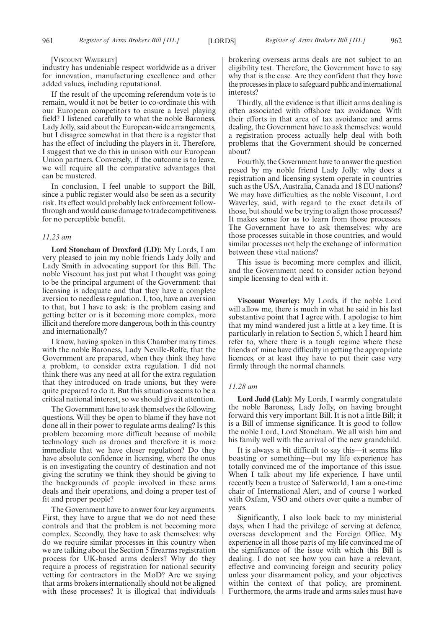#### [VISCOUNT WAVERLEY]

industry has undeniable respect worldwide as a driver for innovation, manufacturing excellence and other added values, including reputational.

If the result of the upcoming referendum vote is to remain, would it not be better to co-ordinate this with our European competitors to ensure a level playing field? I listened carefully to what the noble Baroness, Lady Jolly, said about the European-wide arrangements, but I disagree somewhat in that there is a register that has the effect of including the players in it. Therefore, I suggest that we do this in unison with our European Union partners. Conversely, if the outcome is to leave, we will require all the comparative advantages that can be mustered.

In conclusion, I feel unable to support the Bill, since a public register would also be seen as a security risk. Its effect would probably lack enforcement followthrough and would cause damage to trade competitiveness for no perceptible benefit.

#### *11.23 am*

**Lord Stoneham of Droxford (LD):** My Lords, I am very pleased to join my noble friends Lady Jolly and Lady Smith in advocating support for this Bill. The noble Viscount has just put what I thought was going to be the principal argument of the Government: that licensing is adequate and that they have a complete aversion to needless regulation. I, too, have an aversion to that, but I have to ask: is the problem easing and getting better or is it becoming more complex, more illicit and therefore more dangerous, both in this country and internationally?

I know, having spoken in this Chamber many times with the noble Baroness, Lady Neville-Rolfe, that the Government are prepared, when they think they have a problem, to consider extra regulation. I did not think there was any need at all for the extra regulation that they introduced on trade unions, but they were quite prepared to do it. But this situation seems to be a critical national interest, so we should give it attention.

The Government have to ask themselves the following questions. Will they be open to blame if they have not done all in their power to regulate arms dealing? Is this problem becoming more difficult because of mobile technology such as drones and therefore it is more immediate that we have closer regulation? Do they have absolute confidence in licensing, where the onus is on investigating the country of destination and not giving the scrutiny we think they should be giving to the backgrounds of people involved in these arms deals and their operations, and doing a proper test of fit and proper people?

The Government have to answer four key arguments. First, they have to argue that we do not need these controls and that the problem is not becoming more complex. Secondly, they have to ask themselves: why do we require similar processes in this country when we are talking about the Section 5 firearms registration process for UK-based arms dealers? Why do they require a process of registration for national security vetting for contractors in the MoD? Are we saying that arms brokers internationally should not be aligned with these processes? It is illogical that individuals brokering overseas arms deals are not subject to an eligibility test. Therefore, the Government have to say why that is the case. Are they confident that they have the processes in place to safeguard public and international interests?

Thirdly, all the evidence is that illicit arms dealing is often associated with offshore tax avoidance. With their efforts in that area of tax avoidance and arms dealing, the Government have to ask themselves: would a registration process actually help deal with both problems that the Government should be concerned about?

Fourthly, the Government have to answer the question posed by my noble friend Lady Jolly: why does a registration and licensing system operate in countries such as the USA, Australia, Canada and 18 EU nations? We may have difficulties, as the noble Viscount, Lord Waverley, said, with regard to the exact details of those, but should we be trying to align those processes? It makes sense for us to learn from those processes. The Government have to ask themselves: why are those processes suitable in those countries, and would similar processes not help the exchange of information between these vital nations?

This issue is becoming more complex and illicit, and the Government need to consider action beyond simple licensing to deal with it.

**Viscount Waverley:** My Lords, if the noble Lord will allow me, there is much in what he said in his last substantive point that I agree with. I apologise to him that my mind wandered just a little at a key time. It is particularly in relation to Section 5, which I heard him refer to, where there is a tough regime where these friends of mine have difficulty in getting the appropriate licences, or at least they have to put their case very firmly through the normal channels.

#### *11.28 am*

**Lord Judd (Lab):** My Lords, I warmly congratulate the noble Baroness, Lady Jolly, on having brought forward this very important Bill. It is not a little Bill; it is a Bill of immense significance. It is good to follow the noble Lord, Lord Stoneham. We all wish him and his family well with the arrival of the new grandchild.

It is always a bit difficult to say this—it seems like boasting or something—but my life experience has totally convinced me of the importance of this issue. When I talk about my life experience, I have until recently been a trustee of Saferworld, I am a one-time chair of International Alert, and of course I worked with Oxfam, VSO and others over quite a number of years.

Significantly, I also look back to my ministerial days, when I had the privilege of serving at defence, overseas development and the Foreign Office. My experience in all those parts of my life convinced me of the significance of the issue with which this Bill is dealing. I do not see how you can have a relevant, effective and convincing foreign and security policy unless your disarmament policy, and your objectives within the context of that policy, are prominent. Furthermore, the arms trade and arms sales must have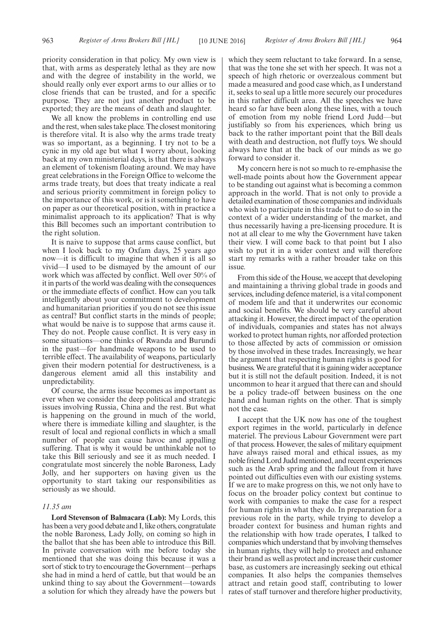priority consideration in that policy. My own view is that, with arms as desperately lethal as they are now and with the degree of instability in the world, we should really only ever export arms to our allies or to close friends that can be trusted, and for a specific purpose. They are not just another product to be exported; they are the means of death and slaughter.

We all know the problems in controlling end use and the rest, when sales take place. The closest monitoring is therefore vital. It is also why the arms trade treaty was so important, as a beginning. I try not to be a cynic in my old age but what I worry about, looking back at my own ministerial days, is that there is always an element of tokenism floating around. We may have great celebrations in the Foreign Office to welcome the arms trade treaty, but does that treaty indicate a real and serious priority commitment in foreign policy to the importance of this work, or is it something to have on paper as our theoretical position, with in practice a minimalist approach to its application? That is why this Bill becomes such an important contribution to the right solution.

It is naive to suppose that arms cause conflict, but when I look back to my Oxfam days, 25 years ago now—it is difficult to imagine that when it is all so vivid—I used to be dismayed by the amount of our work which was affected by conflict. Well over 50% of it in parts of the world was dealing with the consequences or the immediate effects of conflict. How can you talk intelligently about your commitment to development and humanitarian priorities if you do not see this issue as central? But conflict starts in the minds of people; what would be naive is to suppose that arms cause it. They do not. People cause conflict. It is very easy in some situations—one thinks of Rwanda and Burundi in the past—for handmade weapons to be used to terrible effect. The availability of weapons, particularly given their modern potential for destructiveness, is a dangerous element amid all this instability and unpredictability.

Of course, the arms issue becomes as important as ever when we consider the deep political and strategic issues involving Russia, China and the rest. But what is happening on the ground in much of the world, where there is immediate killing and slaughter, is the result of local and regional conflicts in which a small number of people can cause havoc and appalling suffering. That is why it would be unthinkable not to take this Bill seriously and see it as much needed. I congratulate most sincerely the noble Baroness, Lady Jolly, and her supporters on having given us the opportunity to start taking our responsibilities as seriously as we should.

#### *11.35 am*

**Lord Stevenson of Balmacara (Lab):** My Lords, this has been a very good debate and I, like others, congratulate the noble Baroness, Lady Jolly, on coming so high in the ballot that she has been able to introduce this Bill. In private conversation with me before today she mentioned that she was doing this because it was a sort of stick to try to encourage the Government—perhaps she had in mind a herd of cattle, but that would be an unkind thing to say about the Government—towards a solution for which they already have the powers but which they seem reluctant to take forward. In a sense, that was the tone she set with her speech. It was not a speech of high rhetoric or overzealous comment but made a measured and good case which, as I understand it, seeks to seal up a little more securely our procedures in this rather difficult area. All the speeches we have heard so far have been along these lines, with a touch of emotion from my noble friend Lord Judd—but justifiably so from his experiences, which bring us back to the rather important point that the Bill deals with death and destruction, not fluffy toys. We should always have that at the back of our minds as we go forward to consider it.

My concern here is not so much to re-emphasise the well-made points about how the Government appear to be standing out against what is becoming a common approach in the world. That is not only to provide a detailed examination of those companies and individuals who wish to participate in this trade but to do so in the context of a wider understanding of the market, and thus necessarily having a pre-licensing procedure. It is not at all clear to me why the Government have taken their view. I will come back to that point but I also wish to put it in a wider context and will therefore start my remarks with a rather broader take on this issue.

From this side of the House, we accept that developing and maintaining a thriving global trade in goods and services, including defence materiel, is a vital component of modem life and that it underwrites our economic and social benefits. We should be very careful about attacking it. However, the direct impact of the operation of individuals, companies and states has not always worked to protect human rights, nor afforded protection to those affected by acts of commission or omission by those involved in these trades. Increasingly, we hear the argument that respecting human rights is good for business. We are grateful that it is gaining wider acceptance but it is still not the default position. Indeed, it is not uncommon to hear it argued that there can and should be a policy trade-off between business on the one hand and human rights on the other. That is simply not the case.

I accept that the UK now has one of the toughest export regimes in the world, particularly in defence materiel. The previous Labour Government were part of that process. However, the sales of military equipment have always raised moral and ethical issues, as my noble friend Lord Judd mentioned, and recent experiences such as the Arab spring and the fallout from it have pointed out difficulties even with our existing systems. If we are to make progress on this, we not only have to focus on the broader policy context but continue to work with companies to make the case for a respect for human rights in what they do. In preparation for a previous role in the party, while trying to develop a broader context for business and human rights and the relationship with how trade operates, I talked to companies which understand that by involving themselves in human rights, they will help to protect and enhance their brand as well as protect and increase their customer base, as customers are increasingly seeking out ethical companies. It also helps the companies themselves attract and retain good staff, contributing to lower rates of staff turnover and therefore higher productivity,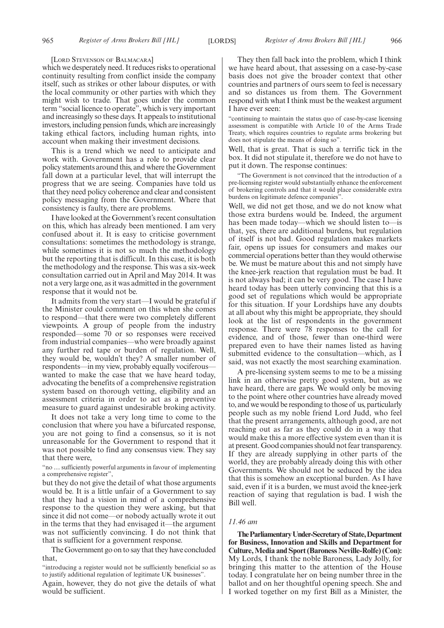#### [LORD STEVENSON OF BALMACARA]

which we desperately need. It reduces risks to operational continuity resulting from conflict inside the company itself, such as strikes or other labour disputes, or with the local community or other parties with which they might wish to trade. That goes under the common term "social licence to operate", which is very important and increasingly so these days. It appeals to institutional investors, including pension funds, which are increasingly taking ethical factors, including human rights, into account when making their investment decisions.

This is a trend which we need to anticipate and work with. Government has a role to provide clear policy statements around this, and where the Government fall down at a particular level, that will interrupt the progress that we are seeing. Companies have told us that they need policy coherence and clear and consistent policy messaging from the Government. Where that consistency is faulty, there are problems.

I have looked at the Government's recent consultation on this, which has already been mentioned. I am very confused about it. It is easy to criticise government consultations: sometimes the methodology is strange, while sometimes it is not so much the methodology but the reporting that is difficult. In this case, it is both the methodology and the response. This was a six-week consultation carried out in April and May 2014. It was not a very large one, as it was admitted in the government response that it would not be.

It admits from the very start—I would be grateful if the Minister could comment on this when she comes to respond—that there were two completely different viewpoints. A group of people from the industry responded—some 70 or so responses were received from industrial companies—who were broadly against any further red tape or burden of regulation. Well, they would be, wouldn't they? A smaller number of respondents—in my view, probably equally vociferous wanted to make the case that we have heard today, advocating the benefits of a comprehensive registration system based on thorough vetting, eligibility and an assessment criteria in order to act as a preventive measure to guard against undesirable broking activity.

It does not take a very long time to come to the conclusion that where you have a bifurcated response, you are not going to find a consensus, so it is not unreasonable for the Government to respond that it was not possible to find any consensus view. They say that there were,

"no … sufficiently powerful arguments in favour of implementing a comprehensive register",

but they do not give the detail of what those arguments would be. It is a little unfair of a Government to say that they had a vision in mind of a comprehensive response to the question they were asking, but that since it did not come—or nobody actually wrote it out in the terms that they had envisaged it—the argument was not sufficiently convincing. I do not think that that is sufficient for a government response.

The Government go on to say that they have concluded that,

"introducing a register would not be sufficiently beneficial so as to justify additional regulation of legitimate UK businesses".

Again, however, they do not give the details of what would be sufficient.

They then fall back into the problem, which I think we have heard about, that assessing on a case-by-case basis does not give the broader context that other countries and partners of ours seem to feel is necessary and so distances us from them. The Government respond with what I think must be the weakest argument I have ever seen:

"continuing to maintain the status quo of case-by-case licensing assessment is compatible with Article 10 of the Arms Trade Treaty, which requires countries to regulate arms brokering but does not stipulate the means of doing so".

Well, that is great. That is such a terrific tick in the box. It did not stipulate it, therefore we do not have to put it down. The response continues:

"The Government is not convinced that the introduction of a pre-licensing register would substantially enhance the enforcement of brokering controls and that it would place considerable extra burdens on legitimate defence companies".

Well, we did not get those, and we do not know what those extra burdens would be. Indeed, the argument has been made today—which we should listen to—is that, yes, there are additional burdens, but regulation of itself is not bad. Good regulation makes markets fair, opens up issues for consumers and makes our commercial operations better than they would otherwise be. We must be mature about this and not simply have the knee-jerk reaction that regulation must be bad. It is not always bad; it can be very good. The case I have heard today has been utterly convincing that this is a good set of regulations which would be appropriate for this situation. If your Lordships have any doubts at all about why this might be appropriate, they should look at the list of respondents in the government response. There were 78 responses to the call for evidence, and of those, fewer than one-third were prepared even to have their names listed as having submitted evidence to the consultation—which, as I said, was not exactly the most searching examination.

A pre-licensing system seems to me to be a missing link in an otherwise pretty good system, but as we have heard, there are gaps. We would only be moving to the point where other countries have already moved to, and we would be responding to those of us, particularly people such as my noble friend Lord Judd, who feel that the present arrangements, although good, are not reaching out as far as they could do in a way that would make this a more effective system even than it is at present. Good companies should not fear transparency. If they are already supplying in other parts of the world, they are probably already doing this with other Governments. We should not be seduced by the idea that this is somehow an exceptional burden. As I have said, even if it is a burden, we must avoid the knee-jerk reaction of saying that regulation is bad. I wish the Bill well.

#### *11.46 am*

**TheParliamentaryUnder-Secretaryof State,Department for Business, Innovation and Skills and Department for Culture, Media and Sport (Baroness Neville-Rolfe) (Con):** My Lords, I thank the noble Baroness, Lady Jolly, for bringing this matter to the attention of the House today. I congratulate her on being number three in the ballot and on her thoughtful opening speech. She and I worked together on my first Bill as a Minister, the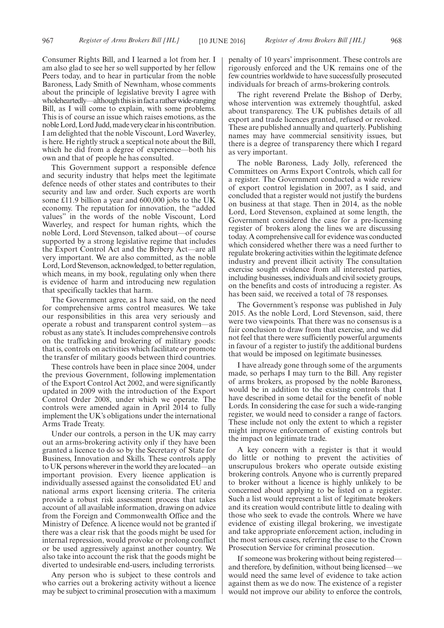Consumer Rights Bill, and I learned a lot from her. I am also glad to see her so well supported by her fellow Peers today, and to hear in particular from the noble Baroness, Lady Smith of Newnham, whose comments about the principle of legislative brevity I agree with wholeheartedly—although this is in fact a rather wide-ranging Bill, as I will come to explain, with some problems. This is of course an issue which raises emotions, as the nobleLord,LordJudd,madeveryclearinhiscontribution. I am delighted that the noble Viscount, Lord Waverley, is here. He rightly struck a sceptical note about the Bill, which he did from a degree of experience—both his own and that of people he has consulted.

This Government support a responsible defence and security industry that helps meet the legitimate defence needs of other states and contributes to their security and law and order. Such exports are worth some £11.9 billion a year and 600,000 jobs to the UK economy. The reputation for innovation, the "added values" in the words of the noble Viscount, Lord Waverley, and respect for human rights, which the noble Lord, Lord Stevenson, talked about—of course supported by a strong legislative regime that includes the Export Control Act and the Bribery Act—are all very important. We are also committed, as the noble Lord, Lord Stevenson, acknowledged, to better regulation, which means, in my book, regulating only when there is evidence of harm and introducing new regulation that specifically tackles that harm.

The Government agree, as I have said, on the need for comprehensive arms control measures. We take our responsibilities in this area very seriously and operate a robust and transparent control system—as robust as any state's. It includes comprehensive controls on the trafficking and brokering of military goods: that is, controls on activities which facilitate or promote the transfer of military goods between third countries.

These controls have been in place since 2004, under the previous Government, following implementation of the Export Control Act 2002, and were significantly updated in 2009 with the introduction of the Export Control Order 2008, under which we operate. The controls were amended again in April 2014 to fully implement the UK's obligations under the international Arms Trade Treaty.

Under our controls, a person in the UK may carry out an arms-brokering activity only if they have been granted a licence to do so by the Secretary of State for Business, Innovation and Skills. These controls apply to UK persons wherever in the world they are located—an important provision. Every licence application is individually assessed against the consolidated EU and national arms export licensing criteria. The criteria provide a robust risk assessment process that takes account of all available information, drawing on advice from the Foreign and Commonwealth Office and the Ministry of Defence. A licence would not be granted if there was a clear risk that the goods might be used for internal repression, would provoke or prolong conflict or be used aggressively against another country. We also take into account the risk that the goods might be diverted to undesirable end-users, including terrorists.

Any person who is subject to these controls and who carries out a brokering activity without a licence may be subject to criminal prosecution with a maximum penalty of 10 years' imprisonment. These controls are rigorously enforced and the UK remains one of the few countries worldwide to have successfully prosecuted individuals for breach of arms-brokering controls.

The right reverend Prelate the Bishop of Derby, whose intervention was extremely thoughtful, asked about transparency. The UK publishes details of all export and trade licences granted, refused or revoked. These are published annually and quarterly. Publishing names may have commercial sensitivity issues, but there is a degree of transparency there which I regard as very important.

The noble Baroness, Lady Jolly, referenced the Committees on Arms Export Controls, which call for a register. The Government conducted a wide review of export control legislation in 2007, as I said, and concluded that a register would not justify the burdens on business at that stage. Then in 2014, as the noble Lord, Lord Stevenson, explained at some length, the Government considered the case for a pre-licensing register of brokers along the lines we are discussing today. A comprehensive call for evidence was conducted which considered whether there was a need further to regulate brokering activities within the legitimate defence industry and prevent illicit activity The consultation exercise sought evidence from all interested parties, including businesses, individuals and civil society groups, on the benefits and costs of introducing a register. As has been said, we received a total of 78 responses.

The Government's response was published in July 2015. As the noble Lord, Lord Stevenson, said, there were two viewpoints. That there was no consensus is a fair conclusion to draw from that exercise, and we did not feel that there were sufficiently powerful arguments in favour of a register to justify the additional burdens that would be imposed on legitimate businesses.

I have already gone through some of the arguments made, so perhaps I may turn to the Bill. Any register of arms brokers, as proposed by the noble Baroness, would be in addition to the existing controls that I have described in some detail for the benefit of noble Lords. In considering the case for such a wide-ranging register, we would need to consider a range of factors. These include not only the extent to which a register might improve enforcement of existing controls but the impact on legitimate trade.

A key concern with a register is that it would do little or nothing to prevent the activities of unscrupulous brokers who operate outside existing brokering controls. Anyone who is currently prepared to broker without a licence is highly unlikely to be concerned about applying to be listed on a register. Such a list would represent a list of legitimate brokers and its creation would contribute little to dealing with those who seek to evade the controls. Where we have evidence of existing illegal brokering, we investigate and take appropriate enforcement action, including in the most serious cases, referring the case to the Crown Prosecution Service for criminal prosecution.

If someone was brokering without being registered and therefore, by definition, without being licensed—we would need the same level of evidence to take action against them as we do now. The existence of a register would not improve our ability to enforce the controls,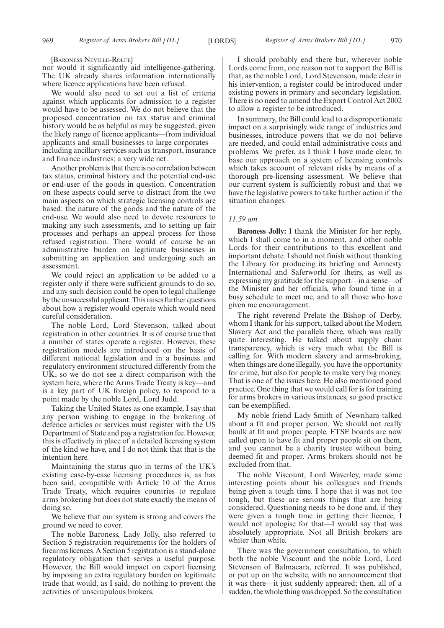[BARONESS NEVILLE-ROLFE]

nor would it significantly aid intelligence-gathering. The UK already shares information internationally where licence applications have been refused.

We would also need to set out a list of criteria against which applicants for admission to a register would have to be assessed. We do not believe that the proposed concentration on tax status and criminal history would be as helpful as may be suggested, given the likely range of licence applicants—from individual applicants and small businesses to large corporates including ancillary services such as transport, insurance and finance industries: a very wide net.

Another problem is that there is no correlation between tax status, criminal history and the potential end-use or end-user of the goods in question. Concentration on these aspects could serve to distract from the two main aspects on which strategic licensing controls are based: the nature of the goods and the nature of the end-use. We would also need to devote resources to making any such assessments, and to setting up fair processes and perhaps an appeal process for those refused registration. There would of course be an administrative burden on legitimate businesses in submitting an application and undergoing such an assessment.

We could reject an application to be added to a register only if there were sufficient grounds to do so, and any such decision could be open to legal challenge by the unsuccessful applicant. This raises further questions about how a register would operate which would need careful consideration.

The noble Lord, Lord Stevenson, talked about registration in other countries. It is of course true that a number of states operate a register. However, these registration models are introduced on the basis of different national legislation and in a business and regulatory environment structured differently from the UK, so we do not see a direct comparison with the system here, where the Arms Trade Treaty is key—and is a key part of UK foreign policy, to respond to a point made by the noble Lord, Lord Judd.

Taking the United States as one example, I say that any person wishing to engage in the brokering of defence articles or services must register with the US Department of State and pay a registration fee. However, this is effectively in place of a detailed licensing system of the kind we have, and I do not think that that is the intention here.

Maintaining the status quo in terms of the UK's existing case-by-case licensing procedures is, as has been said, compatible with Article 10 of the Arms Trade Treaty, which requires countries to regulate arms brokering but does not state exactly the means of doing so.

We believe that our system is strong and covers the ground we need to cover.

The noble Baroness, Lady Jolly, also referred to Section 5 registration requirements for the holders of firearms licences. A Section 5 registration is a stand-alone regulatory obligation that serves a useful purpose. However, the Bill would impact on export licensing by imposing an extra regulatory burden on legitimate trade that would, as I said, do nothing to prevent the activities of unscrupulous brokers.

I should probably end there but, wherever noble Lords come from, one reason not to support the Bill is that, as the noble Lord, Lord Stevenson, made clear in his intervention, a register could be introduced under existing powers in primary and secondary legislation. There is no need to amend the Export Control Act 2002 to allow a register to be introduced.

In summary, the Bill could lead to a disproportionate impact on a surprisingly wide range of industries and businesses, introduce powers that we do not believe are needed, and could entail administrative costs and problems. We prefer, as I think I have made clear, to base our approach on a system of licensing controls which takes account of relevant risks by means of a thorough pre-licensing assessment. We believe that our current system is sufficiently robust and that we have the legislative powers to take further action if the situation changes.

#### *11.59 am*

**Baroness Jolly:** I thank the Minister for her reply, which I shall come to in a moment, and other noble Lords for their contributions to this excellent and important debate. I should not finish without thanking the Library for producing its briefing and Amnesty International and Saferworld for theirs, as well as expressing my gratitude for the support—in a sense—of the Minister and her officials, who found time in a busy schedule to meet me, and to all those who have given me encouragement.

The right reverend Prelate the Bishop of Derby, whom I thank for his support, talked about the Modern Slavery Act and the parallels there, which was really quite interesting. He talked about supply chain transparency, which is very much what the Bill is calling for. With modern slavery and arms-broking, when things are done illegally, you have the opportunity for crime, but also for people to make very big money. That is one of the issues here. He also mentioned good practice. One thing that we would call for is for training for arms brokers in various instances, so good practice can be exemplified.

My noble friend Lady Smith of Newnham talked about a fit and proper person. We should not really baulk at fit and proper people. FTSE boards are now called upon to have fit and proper people sit on them, and you cannot be a charity trustee without being deemed fit and proper. Arms brokers should not be excluded from that.

The noble Viscount, Lord Waverley, made some interesting points about his colleagues and friends being given a tough time. I hope that it was not too tough, but these are serious things that are being considered. Questioning needs to be done and, if they were given a tough time in getting their licence, I would not apologise for that—I would say that was absolutely appropriate. Not all British brokers are whiter than white.

There was the government consultation, to which both the noble Viscount and the noble Lord, Lord Stevenson of Balmacara, referred. It was published, or put up on the website, with no announcement that it was there—it just suddenly appeared; then, all of a sudden, the whole thing was dropped. So the consultation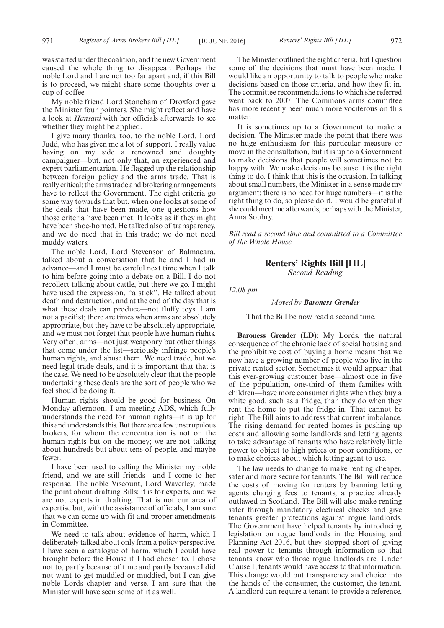My noble friend Lord Stoneham of Droxford gave the Minister four pointers. She might reflect and have a look at *Hansard* with her officials afterwards to see whether they might be applied.

I give many thanks, too, to the noble Lord, Lord Judd, who has given me a lot of support. I really value having on my side a renowned and doughty campaigner—but, not only that, an experienced and expert parliamentarian. He flagged up the relationship between foreign policy and the arms trade. That is really critical; the arms trade and brokering arrangements have to reflect the Government. The eight criteria go some way towards that but, when one looks at some of the deals that have been made, one questions how those criteria have been met. It looks as if they might have been shoe-horned. He talked also of transparency, and we do need that in this trade; we do not need muddy waters.

The noble Lord, Lord Stevenson of Balmacara, talked about a conversation that he and I had in advance—and I must be careful next time when I talk to him before going into a debate on a Bill. I do not recollect talking about cattle, but there we go. I might have used the expression, "a stick". He talked about death and destruction, and at the end of the day that is what these deals can produce—not fluffy toys. I am not a pacifist; there are times when arms are absolutely appropriate, but they have to be absolutely appropriate, and we must not forget that people have human rights. Very often, arms—not just weaponry but other things that come under the list—seriously infringe people's human rights, and abuse them. We need trade, but we need legal trade deals, and it is important that that is the case. We need to be absolutely clear that the people undertaking these deals are the sort of people who we feel should be doing it.

Human rights should be good for business. On Monday afternoon, I am meeting ADS, which fully understands the need for human rights—it is up for this and understands this. But there are a few unscrupulous brokers, for whom the concentration is not on the human rights but on the money; we are not talking about hundreds but about tens of people, and maybe fewer.

I have been used to calling the Minister my noble friend, and we are still friends—and I come to her response. The noble Viscount, Lord Waverley, made the point about drafting Bills; it is for experts, and we are not experts in drafting. That is not our area of expertise but, with the assistance of officials, I am sure that we can come up with fit and proper amendments in Committee.

We need to talk about evidence of harm, which I deliberately talked about only from a policy perspective. I have seen a catalogue of harm, which I could have brought before the House if I had chosen to. I chose not to, partly because of time and partly because I did not want to get muddled or muddied, but I can give noble Lords chapter and verse. I am sure that the Minister will have seen some of it as well.

The Minister outlined the eight criteria, but I question some of the decisions that must have been made. I would like an opportunity to talk to people who make decisions based on those criteria, and how they fit in. The committee recommendations to which she referred went back to 2007. The Commons arms committee has more recently been much more vociferous on this matter.

It is sometimes up to a Government to make a decision. The Minister made the point that there was no huge enthusiasm for this particular measure or move in the consultation, but it is up to a Government to make decisions that people will sometimes not be happy with. We make decisions because it is the right thing to do. I think that this is the occasion. In talking about small numbers, the Minister in a sense made my argument; there is no need for huge numbers—it is the right thing to do, so please do it. I would be grateful if she could meet me afterwards, perhaps with the Minister, Anna Soubry.

*Bill read a second time and committed to a Committee of the Whole House.*

### **Renters' Rights Bill [HL]**

*Second Reading*

*12.08 pm*

*Moved by Baroness Grender*

That the Bill be now read a second time.

**Baroness Grender (LD):** My Lords, the natural consequence of the chronic lack of social housing and the prohibitive cost of buying a home means that we now have a growing number of people who live in the private rented sector. Sometimes it would appear that this ever-growing customer base—almost one in five of the population, one-third of them families with children—have more consumer rights when they buy a white good, such as a fridge, than they do when they rent the home to put the fridge in. That cannot be right. The Bill aims to address that current imbalance. The rising demand for rented homes is pushing up costs and allowing some landlords and letting agents to take advantage of tenants who have relatively little power to object to high prices or poor conditions, or to make choices about which letting agent to use.

The law needs to change to make renting cheaper, safer and more secure for tenants. The Bill will reduce the costs of moving for renters by banning letting agents charging fees to tenants, a practice already outlawed in Scotland. The Bill will also make renting safer through mandatory electrical checks and give tenants greater protections against rogue landlords. The Government have helped tenants by introducing legislation on rogue landlords in the Housing and Planning Act 2016, but they stopped short of giving real power to tenants through information so that tenants know who those rogue landlords are. Under Clause 1, tenants would have access to that information. This change would put transparency and choice into the hands of the consumer, the customer, the tenant. A landlord can require a tenant to provide a reference,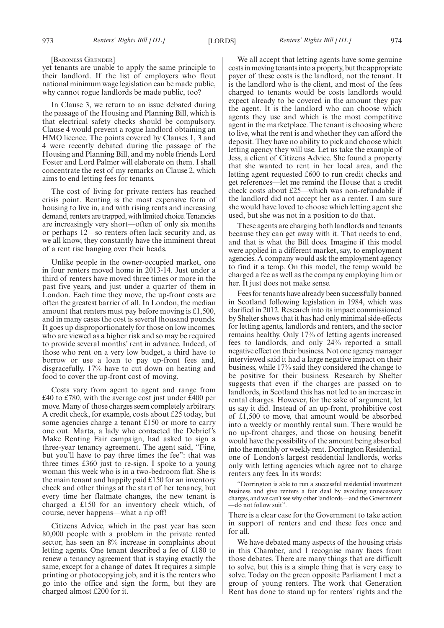#### [BARONESS GRENDER]

yet tenants are unable to apply the same principle to their landlord. If the list of employers who flout national minimum wage legislation can be made public, why cannot rogue landlords be made public, too?

In Clause 3, we return to an issue debated during the passage of the Housing and Planning Bill, which is that electrical safety checks should be compulsory. Clause 4 would prevent a rogue landlord obtaining an HMO licence. The points covered by Clauses 1, 3 and 4 were recently debated during the passage of the Housing and Planning Bill, and my noble friends Lord Foster and Lord Palmer will elaborate on them. I shall concentrate the rest of my remarks on Clause 2, which aims to end letting fees for tenants.

The cost of living for private renters has reached crisis point. Renting is the most expensive form of housing to live in, and with rising rents and increasing demand, renters are trapped, with limited choice. Tenancies are increasingly very short—often of only six months or perhaps 12—so renters often lack security and, as we all know, they constantly have the imminent threat of a rent rise hanging over their heads.

Unlike people in the owner-occupied market, one in four renters moved home in 2013-14. Just under a third of renters have moved three times or more in the past five years, and just under a quarter of them in London. Each time they move, the up-front costs are often the greatest barrier of all. In London, the median amount that renters must pay before moving is £1,500, and in many cases the cost is several thousand pounds. It goes up disproportionately for those on low incomes, who are viewed as a higher risk and so may be required to provide several months' rent in advance. Indeed, of those who rent on a very low budget, a third have to borrow or use a loan to pay up-front fees and, disgracefully, 17% have to cut down on heating and food to cover the up-front cost of moving.

Costs vary from agent to agent and range from £40 to £780, with the average cost just under £400 per move. Many of those charges seem completely arbitrary. A credit check, for example, costs about £25 today, but some agencies charge a tenant £150 or more to carry one out. Marta, a lady who contacted the Debrief's Make Renting Fair campaign, had asked to sign a three-year tenancy agreement. The agent said, "Fine, but you'll have to pay three times the fee": that was three times £360 just to re-sign. I spoke to a young woman this week who is in a two-bedroom flat. She is the main tenant and happily paid £150 for an inventory check and other things at the start of her tenancy, but every time her flatmate changes, the new tenant is charged a £150 for an inventory check which, of course, never happens—what a rip off!

Citizens Advice, which in the past year has seen 80,000 people with a problem in the private rented sector, has seen an 8% increase in complaints about letting agents. One tenant described a fee of £180 to renew a tenancy agreement that is staying exactly the same, except for a change of dates. It requires a simple printing or photocopying job, and it is the renters who go into the office and sign the form, but they are charged almost £200 for it.

We all accept that letting agents have some genuine costs in moving tenants into a property, but the appropriate payer of these costs is the landlord, not the tenant. It is the landlord who is the client, and most of the fees charged to tenants would be costs landlords would expect already to be covered in the amount they pay the agent. It is the landlord who can choose which agents they use and which is the most competitive agent in the marketplace. The tenant is choosing where to live, what the rent is and whether they can afford the deposit. They have no ability to pick and choose which letting agency they will use. Let us take the example of Jess, a client of Citizens Advice. She found a property that she wanted to rent in her local area, and the letting agent requested £600 to run credit checks and get references—let me remind the House that a credit check costs about £25—which was non-refundable if the landlord did not accept her as a renter. I am sure she would have loved to choose which letting agent she used, but she was not in a position to do that.

These agents are charging both landlords and tenants because they can get away with it. That needs to end, and that is what the Bill does. Imagine if this model were applied in a different market, say, to employment agencies. A company would ask the employment agency to find it a temp. On this model, the temp would be charged a fee as well as the company employing him or her. It just does not make sense.

Fees for tenants have already been successfully banned in Scotland following legislation in 1984, which was clarified in 2012. Research into its impact commissioned by Shelter shows that it has had only minimal side-effects for letting agents, landlords and renters, and the sector remains healthy. Only 17% of letting agents increased fees to landlords, and only 24% reported a small negative effect on their business. Not one agency manager interviewed said it had a large negative impact on their business, while 17% said they considered the change to be positive for their business. Research by Shelter suggests that even if the charges are passed on to landlords, in Scotland this has not led to an increase in rental charges. However, for the sake of argument, let us say it did. Instead of an up-front, prohibitive cost of £1,500 to move, that amount would be absorbed into a weekly or monthly rental sum. There would be no up-front charges, and those on housing benefit would have the possibility of the amount being absorbed into the monthly or weekly rent. Dorrington Residential, one of London's largest residential landlords, works only with letting agencies which agree not to charge renters any fees. In its words:

"Dorrington is able to run a successful residential investment business and give renters a fair deal by avoiding unnecessary charges, and we can't see why other landlords—and the Government —do not follow suit".

There is a clear case for the Government to take action in support of renters and end these fees once and for all.

We have debated many aspects of the housing crisis in this Chamber, and I recognise many faces from those debates. There are many things that are difficult to solve, but this is a simple thing that is very easy to solve. Today on the green opposite Parliament I met a group of young renters. The work that Generation Rent has done to stand up for renters' rights and the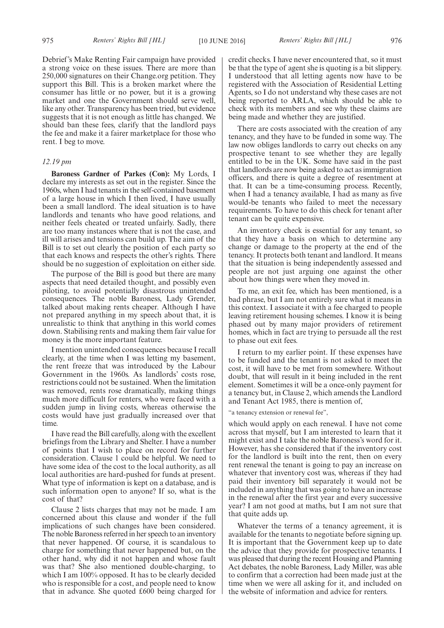Debrief's Make Renting Fair campaign have provided a strong voice on these issues. There are more than 250,000 signatures on their Change.org petition. They support this Bill. This is a broken market where the consumer has little or no power, but it is a growing market and one the Government should serve well, like any other. Transparency has been tried, but evidence suggests that it is not enough as little has changed. We should ban these fees, clarify that the landlord pays the fee and make it a fairer marketplace for those who rent. I beg to move.

#### *12.19 pm*

**Baroness Gardner of Parkes (Con):** My Lords, I declare my interests as set out in the register. Since the 1960s, when I had tenants in the self-contained basement of a large house in which I then lived, I have usually been a small landlord. The ideal situation is to have landlords and tenants who have good relations, and neither feels cheated or treated unfairly. Sadly, there are too many instances where that is not the case, and ill will arises and tensions can build up. The aim of the Bill is to set out clearly the position of each party so that each knows and respects the other's rights. There should be no suggestion of exploitation on either side.

The purpose of the Bill is good but there are many aspects that need detailed thought, and possibly even piloting, to avoid potentially disastrous unintended consequences. The noble Baroness, Lady Grender, talked about making rents cheaper. Although I have not prepared anything in my speech about that, it is unrealistic to think that anything in this world comes down. Stabilising rents and making them fair value for money is the more important feature.

I mention unintended consequences because I recall clearly, at the time when I was letting my basement, the rent freeze that was introduced by the Labour Government in the 1960s. As landlords' costs rose, restrictions could not be sustained. When the limitation was removed, rents rose dramatically, making things much more difficult for renters, who were faced with a sudden jump in living costs, whereas otherwise the costs would have just gradually increased over that time.

I have read the Bill carefully, along with the excellent briefings from the Library and Shelter. I have a number of points that I wish to place on record for further consideration. Clause 1 could be helpful. We need to have some idea of the cost to the local authority, as all local authorities are hard-pushed for funds at present. What type of information is kept on a database, and is such information open to anyone? If so, what is the cost of that?

Clause 2 lists charges that may not be made. I am concerned about this clause and wonder if the full implications of such changes have been considered. The noble Baroness referred in her speech to an inventory that never happened. Of course, it is scandalous to charge for something that never happened but, on the other hand, why did it not happen and whose fault was that? She also mentioned double-charging, to which I am 100% opposed. It has to be clearly decided who is responsible for a cost, and people need to know that in advance. She quoted £600 being charged for credit checks. I have never encountered that, so it must be that the type of agent she is quoting is a bit slippery. I understood that all letting agents now have to be registered with the Association of Residential Letting Agents, so I do not understand why these cases are not being reported to ARLA, which should be able to check with its members and see why these claims are being made and whether they are justified.

There are costs associated with the creation of any tenancy, and they have to be funded in some way. The law now obliges landlords to carry out checks on any prospective tenant to see whether they are legally entitled to be in the UK. Some have said in the past that landlords are now being asked to act as immigration officers, and there is quite a degree of resentment at that. It can be a time-consuming process. Recently, when I had a tenancy available, I had as many as five would-be tenants who failed to meet the necessary requirements. To have to do this check for tenant after tenant can be quite expensive.

An inventory check is essential for any tenant, so that they have a basis on which to determine any change or damage to the property at the end of the tenancy. It protects both tenant and landlord. It means that the situation is being independently assessed and people are not just arguing one against the other about how things were when they moved in.

To me, an exit fee, which has been mentioned, is a bad phrase, but I am not entirely sure what it means in this context. I associate it with a fee charged to people leaving retirement housing schemes. I know it is being phased out by many major providers of retirement homes, which in fact are trying to persuade all the rest to phase out exit fees.

I return to my earlier point. If these expenses have to be funded and the tenant is not asked to meet the cost, it will have to be met from somewhere. Without doubt, that will result in it being included in the rent element. Sometimes it will be a once-only payment for a tenancy but, in Clause 2, which amends the Landlord and Tenant Act 1985, there is mention of,

"a tenancy extension or renewal fee",

which would apply on each renewal. I have not come across that myself, but I am interested to learn that it might exist and I take the noble Baroness's word for it. However, has she considered that if the inventory cost for the landlord is built into the rent, then on every rent renewal the tenant is going to pay an increase on whatever that inventory cost was, whereas if they had paid their inventory bill separately it would not be included in anything that was going to have an increase in the renewal after the first year and every successive year? I am not good at maths, but I am not sure that that quite adds up.

Whatever the terms of a tenancy agreement, it is available for the tenants to negotiate before signing up. It is important that the Government keep up to date the advice that they provide for prospective tenants. I was pleased that during the recent Housing and Planning Act debates, the noble Baroness, Lady Miller, was able to confirm that a correction had been made just at the time when we were all asking for it, and included on the website of information and advice for renters.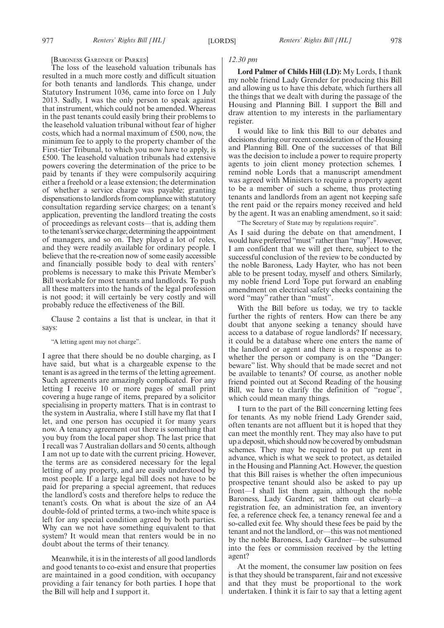#### [BARONESS GARDNER OF PARKES]

The loss of the leasehold valuation tribunals has resulted in a much more costly and difficult situation for both tenants and landlords. This change, under Statutory Instrument 1036, came into force on 1 July 2013. Sadly, I was the only person to speak against that instrument, which could not be amended. Whereas in the past tenants could easily bring their problems to the leasehold valuation tribunal without fear of higher costs, which had a normal maximum of £500, now, the minimum fee to apply to the property chamber of the First-tier Tribunal, to which you now have to apply, is £500. The leasehold valuation tribunals had extensive powers covering the determination of the price to be paid by tenants if they were compulsorily acquiring either a freehold or a lease extension; the determination of whether a service charge was payable; granting dispensations to landlords from compliance with statutory consultation regarding service charges; on a tenant's application, preventing the landlord treating the costs of proceedings as relevant costs—that is, adding them to the tenant's service charge; determining the appointment of managers, and so on. They played a lot of roles, and they were readily available for ordinary people. I believe that the re-creation now of some easily accessible and financially possible body to deal with renters' problems is necessary to make this Private Member's Bill workable for most tenants and landlords. To push all these matters into the hands of the legal profession is not good; it will certainly be very costly and will probably reduce the effectiveness of the Bill.

Clause 2 contains a list that is unclear, in that it says:

#### "A letting agent may not charge".

I agree that there should be no double charging, as I have said, but what is a chargeable expense to the tenant is as agreed in the terms of the letting agreement. Such agreements are amazingly complicated. For any letting I receive 10 or more pages of small print covering a huge range of items, prepared by a solicitor specialising in property matters. That is in contrast to the system in Australia, where I still have my flat that I let, and one person has occupied it for many years now. A tenancy agreement out there is something that you buy from the local paper shop. The last price that I recall was 7 Australian dollars and 50 cents, although I am not up to date with the current pricing. However, the terms are as considered necessary for the legal letting of any property, and are easily understood by most people. If a large legal bill does not have to be paid for preparing a special agreement, that reduces the landlord's costs and therefore helps to reduce the tenant's costs. On what is about the size of an A4 double-fold of printed terms, a two-inch white space is left for any special condition agreed by both parties. Why can we not have something equivalent to that system? It would mean that renters would be in no doubt about the terms of their tenancy.

Meanwhile, it is in the interests of all good landlords and good tenants to co-exist and ensure that properties are maintained in a good condition, with occupancy providing a fair tenancy for both parties. I hope that the Bill will help and I support it.

#### *12.30 pm*

**Lord Palmer of Childs Hill (LD):** My Lords, I thank my noble friend Lady Grender for producing this Bill and allowing us to have this debate, which furthers all the things that we dealt with during the passage of the Housing and Planning Bill. I support the Bill and draw attention to my interests in the parliamentary register.

I would like to link this Bill to our debates and decisions during our recent consideration of the Housing and Planning Bill. One of the successes of that Bill was the decision to include a power to require property agents to join client money protection schemes. I remind noble Lords that a manuscript amendment was agreed with Ministers to require a property agent to be a member of such a scheme, thus protecting tenants and landlords from an agent not keeping safe the rent paid or the repairs money received and held by the agent. It was an enabling amendment, so it said:

"The Secretary of State may by regulations require".

As I said during the debate on that amendment, I would have preferred "must" rather than "may". However, I am confident that we will get there, subject to the successful conclusion of the review to be conducted by the noble Baroness, Lady Hayter, who has not been able to be present today, myself and others. Similarly, my noble friend Lord Tope put forward an enabling amendment on electrical safety checks containing the word "may" rather than "must".

With the Bill before us today, we try to tackle further the rights of renters. How can there be any doubt that anyone seeking a tenancy should have access to a database of rogue landlords? If necessary, it could be a database where one enters the name of the landlord or agent and there is a response as to whether the person or company is on the "Danger: beware" list. Why should that be made secret and not be available to tenants? Of course, as another noble friend pointed out at Second Reading of the housing Bill, we have to clarify the definition of "rogue", which could mean many things.

I turn to the part of the Bill concerning letting fees for tenants. As my noble friend Lady Grender said, often tenants are not affluent but it is hoped that they can meet the monthly rent. They may also have to put up a deposit, which should now be covered by ombudsman schemes. They may be required to put up rent in advance, which is what we seek to protect, as detailed in the Housing and Planning Act. However, the question that this Bill raises is whether the often impecunious prospective tenant should also be asked to pay up front—I shall list them again, although the noble Baroness, Lady Gardner, set them out clearly—a registration fee, an administration fee, an inventory fee, a reference check fee, a tenancy renewal fee and a so-called exit fee. Why should these fees be paid by the tenant and not the landlord, or—this was not mentioned by the noble Baroness, Lady Gardner—be subsumed into the fees or commission received by the letting agent?

At the moment, the consumer law position on fees is that they should be transparent, fair and not excessive and that they must be proportional to the work undertaken. I think it is fair to say that a letting agent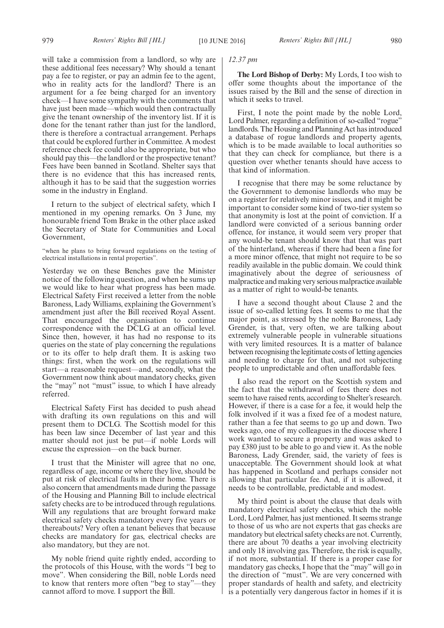will take a commission from a landlord, so why are these additional fees necessary? Why should a tenant pay a fee to register, or pay an admin fee to the agent, who in reality acts for the landlord? There is an argument for a fee being charged for an inventory check—I have some sympathy with the comments that have just been made—which would then contractually give the tenant ownership of the inventory list. If it is done for the tenant rather than just for the landlord, there is therefore a contractual arrangement. Perhaps that could be explored further in Committee. A modest reference check fee could also be appropriate, but who should pay this—the landlord or the prospective tenant? Fees have been banned in Scotland. Shelter says that there is no evidence that this has increased rents, although it has to be said that the suggestion worries some in the industry in England.

I return to the subject of electrical safety, which I mentioned in my opening remarks. On 3 June, my honourable friend Tom Brake in the other place asked the Secretary of State for Communities and Local Government,

"when he plans to bring forward regulations on the testing of electrical installations in rental properties".

Yesterday we on these Benches gave the Minister notice of the following question, and when he sums up we would like to hear what progress has been made. Electrical Safety First received a letter from the noble Baroness, Lady Williams, explaining the Government's amendment just after the Bill received Royal Assent. That encouraged the organisation to continue correspondence with the DCLG at an official level. Since then, however, it has had no response to its queries on the state of play concerning the regulations or to its offer to help draft them. It is asking two things: first, when the work on the regulations will start—a reasonable request—and, secondly, what the Government now think about mandatory checks, given the "may" not "must" issue, to which I have already referred.

Electrical Safety First has decided to push ahead with drafting its own regulations on this and will present them to DCLG. The Scottish model for this has been law since December of last year and this matter should not just be put—if noble Lords will excuse the expression—on the back burner.

I trust that the Minister will agree that no one, regardless of age, income or where they live, should be put at risk of electrical faults in their home. There is also concern that amendments made during the passage of the Housing and Planning Bill to include electrical safety checks are to be introduced through regulations. Will any regulations that are brought forward make electrical safety checks mandatory every five years or thereabouts? Very often a tenant believes that because checks are mandatory for gas, electrical checks are also mandatory, but they are not.

My noble friend quite rightly ended, according to the protocols of this House, with the words "I beg to move". When considering the Bill, noble Lords need to know that renters more often "beg to stay"—they cannot afford to move. I support the Bill.

#### *12.37 pm*

**The Lord Bishop of Derby:** My Lords, I too wish to offer some thoughts about the importance of the issues raised by the Bill and the sense of direction in which it seeks to travel.

First, I note the point made by the noble Lord, Lord Palmer, regarding a definition of so-called "rogue" landlords. The Housing and Planning Act has introduced a database of rogue landlords and property agents, which is to be made available to local authorities so that they can check for compliance, but there is a question over whether tenants should have access to that kind of information.

I recognise that there may be some reluctance by the Government to demonise landlords who may be on a register for relatively minor issues, and it might be important to consider some kind of two-tier system so that anonymity is lost at the point of conviction. If a landlord were convicted of a serious banning order offence, for instance, it would seem very proper that any would-be tenant should know that that was part of the hinterland, whereas if there had been a fine for a more minor offence, that might not require to be so readily available in the public domain. We could think imaginatively about the degree of seriousness of malpractice and making very serious malpractice available as a matter of right to would-be tenants.

I have a second thought about Clause 2 and the issue of so-called letting fees. It seems to me that the major point, as stressed by the noble Baroness, Lady Grender, is that, very often, we are talking about extremely vulnerable people in vulnerable situations with very limited resources. It is a matter of balance between recognising the legitimate costs of letting agencies and needing to charge for that, and not subjecting people to unpredictable and often unaffordable fees.

I also read the report on the Scottish system and the fact that the withdrawal of fees there does not seem to have raised rents, according to Shelter's research. However, if there is a case for a fee, it would help the folk involved if it was a fixed fee of a modest nature, rather than a fee that seems to go up and down. Two weeks ago, one of my colleagues in the diocese where I work wanted to secure a property and was asked to pay £380 just to be able to go and view it. As the noble Baroness, Lady Grender, said, the variety of fees is unacceptable. The Government should look at what has happened in Scotland and perhaps consider not allowing that particular fee. And, if it is allowed, it needs to be controllable, predictable and modest.

My third point is about the clause that deals with mandatory electrical safety checks, which the noble Lord, Lord Palmer, has just mentioned. It seems strange to those of us who are not experts that gas checks are mandatory but electrical safety checks are not. Currently, there are about 70 deaths a year involving electricity and only 18 involving gas. Therefore, the risk is equally, if not more, substantial. If there is a proper case for mandatory gas checks, I hope that the "may" will go in the direction of "must". We are very concerned with proper standards of health and safety, and electricity is a potentially very dangerous factor in homes if it is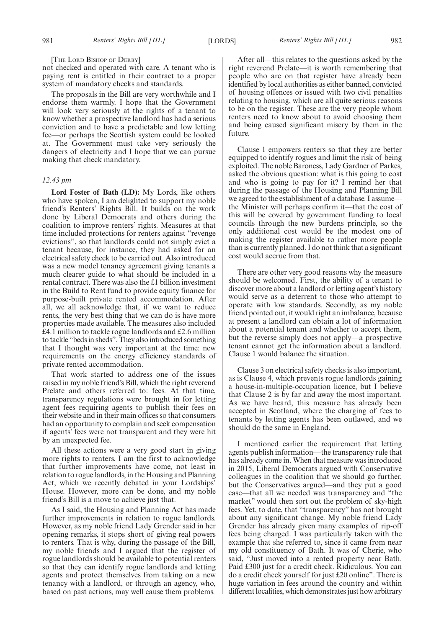#### [THE LORD BISHOP OF DERBY]

not checked and operated with care. A tenant who is paying rent is entitled in their contract to a proper system of mandatory checks and standards.

The proposals in the Bill are very worthwhile and I endorse them warmly. I hope that the Government will look very seriously at the rights of a tenant to know whether a prospective landlord has had a serious conviction and to have a predictable and low letting fee—or perhaps the Scottish system could be looked at. The Government must take very seriously the dangers of electricity and I hope that we can pursue making that check mandatory.

#### *12.43 pm*

**Lord Foster of Bath (LD):** My Lords, like others who have spoken, I am delighted to support my noble friend's Renters' Rights Bill. It builds on the work done by Liberal Democrats and others during the coalition to improve renters' rights. Measures at that time included protections for renters against "revenge evictions", so that landlords could not simply evict a tenant because, for instance, they had asked for an electrical safety check to be carried out. Also introduced was a new model tenancy agreement giving tenants a much clearer guide to what should be included in a rental contract. There was also the £1 billion investment in the Build to Rent fund to provide equity finance for purpose-built private rented accommodation. After all, we all acknowledge that, if we want to reduce rents, the very best thing that we can do is have more properties made available. The measures also included £4.1 million to tackle rogue landlords and £2.6 million to tackle "beds in sheds". They also introduced something that I thought was very important at the time: new requirements on the energy efficiency standards of private rented accommodation.

That work started to address one of the issues raised in my noble friend's Bill, which the right reverend Prelate and others referred to: fees. At that time, transparency regulations were brought in for letting agent fees requiring agents to publish their fees on their website and in their main offices so that consumers had an opportunity to complain and seek compensation if agents' fees were not transparent and they were hit by an unexpected fee.

All these actions were a very good start in giving more rights to renters. I am the first to acknowledge that further improvements have come, not least in relation to rogue landlords, in the Housing and Planning Act, which we recently debated in your Lordships' House. However, more can be done, and my noble friend's Bill is a move to achieve just that.

As I said, the Housing and Planning Act has made further improvements in relation to rogue landlords. However, as my noble friend Lady Grender said in her opening remarks, it stops short of giving real powers to renters. That is why, during the passage of the Bill, my noble friends and I argued that the register of rogue landlords should be available to potential renters so that they can identify rogue landlords and letting agents and protect themselves from taking on a new tenancy with a landlord, or through an agency, who, based on past actions, may well cause them problems.

After all—this relates to the questions asked by the right reverend Prelate—it is worth remembering that people who are on that register have already been identified by local authorities as either banned, convicted of housing offences or issued with two civil penalties relating to housing, which are all quite serious reasons to be on the register. These are the very people whom renters need to know about to avoid choosing them and being caused significant misery by them in the future.

Clause 1 empowers renters so that they are better equipped to identify rogues and limit the risk of being exploited. The noble Baroness, Lady Gardner of Parkes, asked the obvious question: what is this going to cost and who is going to pay for it? I remind her that during the passage of the Housing and Planning Bill we agreed to the establishment of a database. I assume the Minister will perhaps confirm it—that the cost of this will be covered by government funding to local councils through the new burdens principle, so the only additional cost would be the modest one of making the register available to rather more people than is currently planned. I do not think that a significant cost would accrue from that.

There are other very good reasons why the measure should be welcomed. First, the ability of a tenant to discover more about a landlord or letting agent's history would serve as a deterrent to those who attempt to operate with low standards. Secondly, as my noble friend pointed out, it would right an imbalance, because at present a landlord can obtain a lot of information about a potential tenant and whether to accept them, but the reverse simply does not apply—a prospective tenant cannot get the information about a landlord. Clause 1 would balance the situation.

Clause 3 on electrical safety checks is also important, as is Clause 4, which prevents rogue landlords gaining a house-in-multiple-occupation licence, but I believe that Clause 2 is by far and away the most important. As we have heard, this measure has already been accepted in Scotland, where the charging of fees to tenants by letting agents has been outlawed, and we should do the same in England.

I mentioned earlier the requirement that letting agents publish information—the transparency rule that has already come in. When that measure was introduced in 2015, Liberal Democrats argued with Conservative colleagues in the coalition that we should go further, but the Conservatives argued—and they put a good case—that all we needed was transparency and "the market" would then sort out the problem of sky-high fees. Yet, to date, that "transparency" has not brought about any significant change. My noble friend Lady Grender has already given many examples of rip-off fees being charged. I was particularly taken with the example that she referred to, since it came from near my old constituency of Bath. It was of Cherie, who said, "Just moved into a rented property near Bath. Paid £300 just for a credit check. Ridiculous. You can do a credit check yourself for just £20 online". There is huge variation in fees around the country and within different localities, which demonstrates just how arbitrary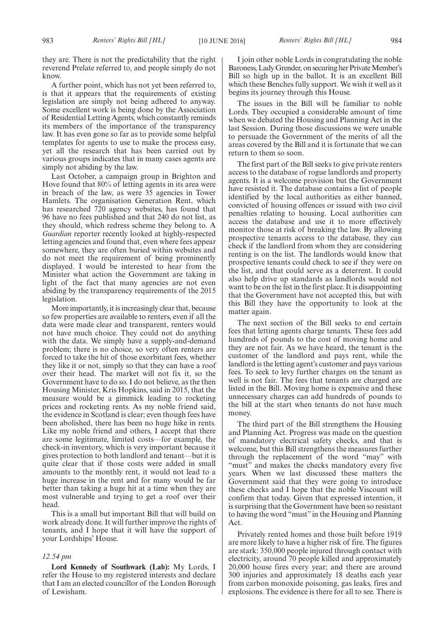they are. There is not the predictability that the right reverend Prelate referred to, and people simply do not know.

A further point, which has not yet been referred to, is that it appears that the requirements of existing legislation are simply not being adhered to anyway. Some excellent work is being done by the Association of Residential Letting Agents, which constantly reminds its members of the importance of the transparency law. It has even gone so far as to provide some helpful templates for agents to use to make the process easy, yet all the research that has been carried out by various groups indicates that in many cases agents are simply not abiding by the law.

Last October, a campaign group in Brighton and Hove found that 80% of letting agents in its area were in breach of the law, as were 35 agencies in Tower Hamlets. The organisation Generation Rent, which has researched 720 agency websites, has found that 96 have no fees published and that 240 do not list, as they should, which redress scheme they belong to. A *Guardian* reporter recently looked at highly-respected letting agencies and found that, even where fees appear somewhere, they are often buried within websites and do not meet the requirement of being prominently displayed. I would be interested to hear from the Minister what action the Government are taking in light of the fact that many agencies are not even abiding by the transparency requirements of the 2015 legislation.

More importantly, it is increasingly clear that, because so few properties are available to renters, even if all the data were made clear and transparent, renters would not have much choice. They could not do anything with the data. We simply have a supply-and-demand problem; there is no choice, so very often renters are forced to take the hit of those exorbitant fees, whether they like it or not, simply so that they can have a roof over their head. The market will not fix it, so the Government have to do so. I do not believe, as the then Housing Minister, Kris Hopkins, said in 2015, that the measure would be a gimmick leading to rocketing prices and rocketing rents. As my noble friend said, the evidence in Scotland is clear; even though fees have been abolished, there has been no huge hike in rents. Like my noble friend and others, I accept that there are some legitimate, limited costs—for example, the check-in inventory, which is very important because it gives protection to both landlord and tenant—but it is quite clear that if those costs were added in small amounts to the monthly rent, it would not lead to a huge increase in the rent and for many would be far better than taking a huge hit at a time when they are most vulnerable and trying to get a roof over their head.

This is a small but important Bill that will build on work already done. It will further improve the rights of tenants, and I hope that it will have the support of your Lordships' House.

#### *12.54 pm*

**Lord Kennedy of Southwark (Lab):** My Lords, I refer the House to my registered interests and declare that I am an elected councillor of the London Borough of Lewisham.

I join other noble Lords in congratulating the noble Baroness, Lady Grender, on securing her Private Member's Bill so high up in the ballot. It is an excellent Bill which these Benches fully support. We wish it well as it begins its journey through this House.

The issues in the Bill will be familiar to noble Lords. They occupied a considerable amount of time when we debated the Housing and Planning Act in the last Session. During those discussions we were unable to persuade the Government of the merits of all the areas covered by the Bill and it is fortunate that we can return to them so soon.

The first part of the Bill seeks to give private renters access to the database of rogue landlords and property agents. It is a welcome provision but the Government have resisted it. The database contains a list of people identified by the local authorities as either banned, convicted of housing offences or issued with two civil penalties relating to housing. Local authorities can access the database and use it to more effectively monitor those at risk of breaking the law. By allowing prospective tenants access to the database, they can check if the landlord from whom they are considering renting is on the list. The landlords would know that prospective tenants could check to see if they were on the list, and that could serve as a deterrent. It could also help drive up standards as landlords would not want to be on the list in the first place. It is disappointing that the Government have not accepted this, but with this Bill they have the opportunity to look at the matter again.

The next section of the Bill seeks to end certain fees that letting agents charge tenants. These fees add hundreds of pounds to the cost of moving home and they are not fair. As we have heard, the tenant is the customer of the landlord and pays rent, while the landlord is the letting agent's customer and pays various fees. To seek to levy further charges on the tenant as well is not fair. The fees that tenants are charged are listed in the Bill. Moving home is expensive and these unnecessary charges can add hundreds of pounds to the bill at the start when tenants do not have much money.

The third part of the Bill strengthens the Housing and Planning Act. Progress was made on the question of mandatory electrical safety checks, and that is welcome, but this Bill strengthens the measures further through the replacement of the word "may" with "must" and makes the checks mandatory every five years. When we last discussed these matters the Government said that they were going to introduce these checks and I hope that the noble Viscount will confirm that today. Given that expressed intention, it is surprising that the Government have been so resistant to having the word "must" in the Housing and Planning Act.

Privately rented homes and those built before 1919 are more likely to have a higher risk of fire. The figures are stark: 350,000 people injured through contact with electricity, around 70 people killed and approximately 20,000 house fires every year; and there are around 300 injuries and approximately 18 deaths each year from carbon monoxide poisoning, gas leaks, fires and explosions. The evidence is there for all to see. There is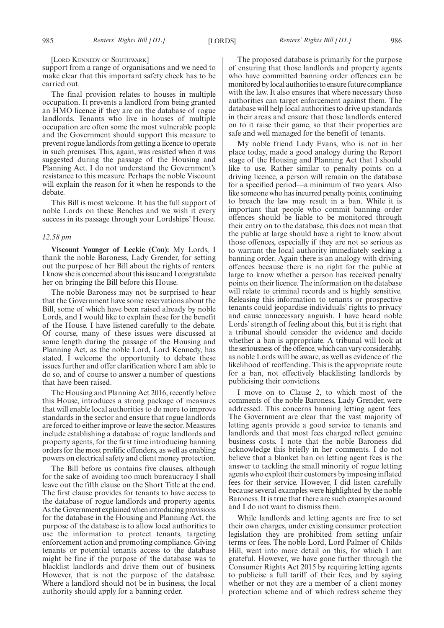#### [LORD KENNEDY OF SOUTHWARK]

support from a range of organisations and we need to make clear that this important safety check has to be carried out.

The final provision relates to houses in multiple occupation. It prevents a landlord from being granted an HMO licence if they are on the database of rogue landlords. Tenants who live in houses of multiple occupation are often some the most vulnerable people and the Government should support this measure to prevent rogue landlords from getting a licence to operate in such premises. This, again, was resisted when it was suggested during the passage of the Housing and Planning Act. I do not understand the Government's resistance to this measure. Perhaps the noble Viscount will explain the reason for it when he responds to the debate.

This Bill is most welcome. It has the full support of noble Lords on these Benches and we wish it every success in its passage through your Lordships' House.

#### *12.58 pm*

**Viscount Younger of Leckie (Con):** My Lords, I thank the noble Baroness, Lady Grender, for setting out the purpose of her Bill about the rights of renters. I know she is concerned about this issue and I congratulate her on bringing the Bill before this House.

The noble Baroness may not be surprised to hear that the Government have some reservations about the Bill, some of which have been raised already by noble Lords, and I would like to explain these for the benefit of the House. I have listened carefully to the debate. Of course, many of these issues were discussed at some length during the passage of the Housing and Planning Act, as the noble Lord, Lord Kennedy, has stated. I welcome the opportunity to debate these issues further and offer clarification where I am able to do so, and of course to answer a number of questions that have been raised.

The Housing and Planning Act 2016, recently before this House, introduces a strong package of measures that will enable local authorities to do more to improve standards in the sector and ensure that rogue landlords are forced to either improve or leave the sector. Measures include establishing a database of rogue landlords and property agents, for the first time introducing banning orders for the most prolific offenders, as well as enabling powers on electrical safety and client money protection.

The Bill before us contains five clauses, although for the sake of avoiding too much bureaucracy I shall leave out the fifth clause on the Short Title at the end. The first clause provides for tenants to have access to the database of rogue landlords and property agents. As the Government explained when introducing provisions for the database in the Housing and Planning Act, the purpose of the database is to allow local authorities to use the information to protect tenants, targeting enforcement action and promoting compliance. Giving tenants or potential tenants access to the database might be fine if the purpose of the database was to blacklist landlords and drive them out of business. However, that is not the purpose of the database. Where a landlord should not be in business, the local authority should apply for a banning order.

The proposed database is primarily for the purpose of ensuring that those landlords and property agents who have committed banning order offences can be monitored by local authorities to ensure future compliance with the law. It also ensures that where necessary those authorities can target enforcement against them. The database will help local authorities to drive up standards in their areas and ensure that those landlords entered on to it raise their game, so that their properties are safe and well managed for the benefit of tenants.

My noble friend Lady Evans, who is not in her place today, made a good analogy during the Report stage of the Housing and Planning Act that I should like to use. Rather similar to penalty points on a driving licence, a person will remain on the database for a specified period—a minimum of two years. Also like someone who has incurred penalty points, continuing to breach the law may result in a ban. While it is important that people who commit banning order offences should be liable to be monitored through their entry on to the database, this does not mean that the public at large should have a right to know about those offences, especially if they are not so serious as to warrant the local authority immediately seeking a banning order. Again there is an analogy with driving offences because there is no right for the public at large to know whether a person has received penalty points on their licence. The information on the database will relate to criminal records and is highly sensitive. Releasing this information to tenants or prospective tenants could jeopardise individuals' rights to privacy and cause unnecessary anguish. I have heard noble Lords' strength of feeling about this, but it is right that a tribunal should consider the evidence and decide whether a ban is appropriate. A tribunal will look at the seriousness of the offence, which can vary considerably, as noble Lords will be aware, as well as evidence of the likelihood of reoffending. This is the appropriate route for a ban, not effectively blacklisting landlords by publicising their convictions.

I move on to Clause 2, to which most of the comments of the noble Baroness, Lady Grender, were addressed. This concerns banning letting agent fees. The Government are clear that the vast majority of letting agents provide a good service to tenants and landlords and that most fees charged reflect genuine business costs. I note that the noble Baroness did acknowledge this briefly in her comments. I do not believe that a blanket ban on letting agent fees is the answer to tackling the small minority of rogue letting agents who exploit their customers by imposing inflated fees for their service. However, I did listen carefully because several examples were highlighted by the noble Baroness. It is true that there are such examples around and I do not want to dismiss them.

While landlords and letting agents are free to set their own charges, under existing consumer protection legislation they are prohibited from setting unfair terms or fees. The noble Lord, Lord Palmer of Childs Hill, went into more detail on this, for which I am grateful. However, we have gone further through the Consumer Rights Act 2015 by requiring letting agents to publicise a full tariff of their fees, and by saying whether or not they are a member of a client money protection scheme and of which redress scheme they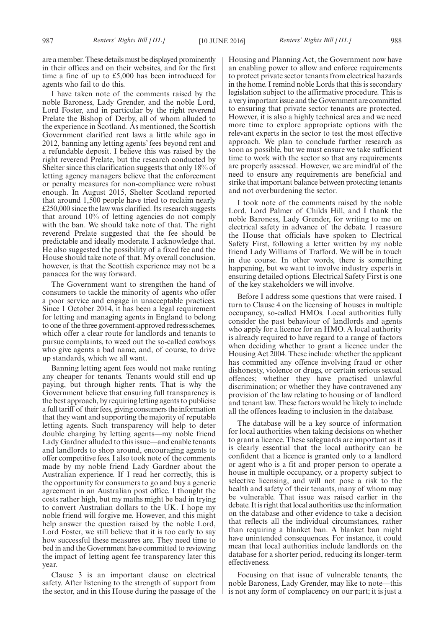are a member. These details must be displayed prominently in their offices and on their websites, and for the first time a fine of up to £5,000 has been introduced for agents who fail to do this.

I have taken note of the comments raised by the noble Baroness, Lady Grender, and the noble Lord, Lord Foster, and in particular by the right reverend Prelate the Bishop of Derby, all of whom alluded to the experience in Scotland. As mentioned, the Scottish Government clarified rent laws a little while ago in 2012, banning any letting agents' fees beyond rent and a refundable deposit. I believe this was raised by the right reverend Prelate, but the research conducted by Shelter since this clarification suggests that only 18% of letting agency managers believe that the enforcement or penalty measures for non-compliance were robust enough. In August 2015, Shelter Scotland reported that around 1,500 people have tried to reclaim nearly £250,000 since the law was clarified. Its research suggests that around 10% of letting agencies do not comply with the ban. We should take note of that. The right reverend Prelate suggested that the fee should be predictable and ideally moderate. I acknowledge that. He also suggested the possibility of a fixed fee and the House should take note of that. My overall conclusion, however, is that the Scottish experience may not be a panacea for the way forward.

The Government want to strengthen the hand of consumers to tackle the minority of agents who offer a poor service and engage in unacceptable practices. Since 1 October 2014, it has been a legal requirement for letting and managing agents in England to belong to one of the three government-approved redress schemes, which offer a clear route for landlords and tenants to pursue complaints, to weed out the so-called cowboys who give agents a bad name, and, of course, to drive up standards, which we all want.

Banning letting agent fees would not make renting any cheaper for tenants. Tenants would still end up paying, but through higher rents. That is why the Government believe that ensuring full transparency is the best approach, by requiring letting agents to publicise a full tariff of their fees, giving consumers the information that they want and supporting the majority of reputable letting agents. Such transparency will help to deter double charging by letting agents—my noble friend Lady Gardner alluded to this issue—and enable tenants and landlords to shop around, encouraging agents to offer competitive fees. I also took note of the comments made by my noble friend Lady Gardner about the Australian experience. If I read her correctly, this is the opportunity for consumers to go and buy a generic agreement in an Australian post office. I thought the costs rather high, but my maths might be bad in trying to convert Australian dollars to the UK. I hope my noble friend will forgive me. However, and this might help answer the question raised by the noble Lord, Lord Foster, we still believe that it is too early to say how successful these measures are. They need time to bed in and the Government have committed to reviewing the impact of letting agent fee transparency later this year.

Clause 3 is an important clause on electrical safety. After listening to the strength of support from the sector, and in this House during the passage of the Housing and Planning Act, the Government now have an enabling power to allow and enforce requirements to protect private sector tenants from electrical hazards in the home. I remind noble Lords that this is secondary legislation subject to the affirmative procedure. This is a very important issue and the Government are committed to ensuring that private sector tenants are protected. However, it is also a highly technical area and we need more time to explore appropriate options with the relevant experts in the sector to test the most effective approach. We plan to conclude further research as soon as possible, but we must ensure we take sufficient time to work with the sector so that any requirements are properly assessed. However, we are mindful of the need to ensure any requirements are beneficial and strike that important balance between protecting tenants and not overburdening the sector.

I took note of the comments raised by the noble Lord, Lord Palmer of Childs Hill, and I thank the noble Baroness, Lady Grender, for writing to me on electrical safety in advance of the debate. I reassure the House that officials have spoken to Electrical Safety First, following a letter written by my noble friend Lady Williams of Trafford. We will be in touch in due course. In other words, there is something happening, but we want to involve industry experts in ensuring detailed options. Electrical Safety First is one of the key stakeholders we will involve.

Before I address some questions that were raised, I turn to Clause 4 on the licensing of houses in multiple occupancy, so-called HMOs. Local authorities fully consider the past behaviour of landlords and agents who apply for a licence for an HMO. A local authority is already required to have regard to a range of factors when deciding whether to grant a licence under the Housing Act 2004. These include: whether the applicant has committed any offence involving fraud or other dishonesty, violence or drugs, or certain serious sexual offences; whether they have practised unlawful discrimination; or whether they have contravened any provision of the law relating to housing or of landlord and tenant law. These factors would be likely to include all the offences leading to inclusion in the database.

The database will be a key source of information for local authorities when taking decisions on whether to grant a licence. These safeguards are important as it is clearly essential that the local authority can be confident that a licence is granted only to a landlord or agent who is a fit and proper person to operate a house in multiple occupancy, or a property subject to selective licensing, and will not pose a risk to the health and safety of their tenants, many of whom may be vulnerable. That issue was raised earlier in the debate. It is right that local authorities use the information on the database and other evidence to take a decision that reflects all the individual circumstances, rather than requiring a blanket ban. A blanket ban might have unintended consequences. For instance, it could mean that local authorities include landlords on the database for a shorter period, reducing its longer-term effectiveness.

Focusing on that issue of vulnerable tenants, the noble Baroness, Lady Grender, may like to note—this is not any form of complacency on our part; it is just a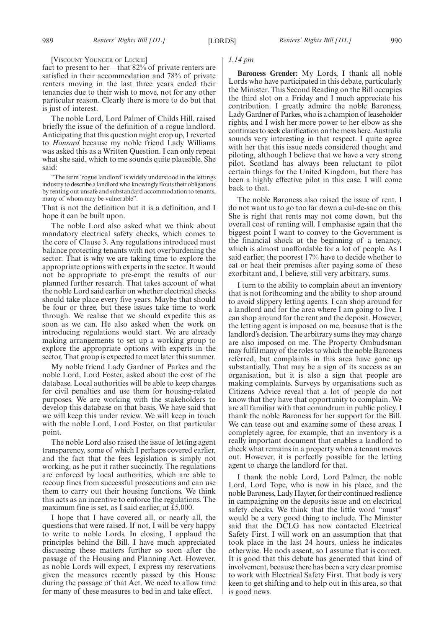#### [VISCOUNT YOUNGER OF LECKIE]

fact to present to her—that 82% of private renters are satisfied in their accommodation and 78% of private renters moving in the last three years ended their tenancies due to their wish to move, not for any other particular reason. Clearly there is more to do but that is just of interest.

The noble Lord, Lord Palmer of Childs Hill, raised briefly the issue of the definition of a rogue landlord. Anticipating that this question might crop up, I reverted to *Hansard* because my noble friend Lady Williams was asked this as a Written Question. I can only repeat what she said, which to me sounds quite plausible. She said:

"The term 'rogue landlord' is widely understood in the lettings industry to describe a landlord who knowingly flouts their obligations by renting out unsafe and substandard accommodation to tenants, many of whom may be vulnerable".

That is not the definition but it is a definition, and I hope it can be built upon.

The noble Lord also asked what we think about mandatory electrical safety checks, which comes to the core of Clause 3. Any regulations introduced must balance protecting tenants with not overburdening the sector. That is why we are taking time to explore the appropriate options with experts in the sector. It would not be appropriate to pre-empt the results of our planned further research. That takes account of what the noble Lord said earlier on whether electrical checks should take place every five years. Maybe that should be four or three, but these issues take time to work through. We realise that we should expedite this as soon as we can. He also asked when the work on introducing regulations would start. We are already making arrangements to set up a working group to explore the appropriate options with experts in the sector. That group is expected to meet later this summer.

My noble friend Lady Gardner of Parkes and the noble Lord, Lord Foster, asked about the cost of the database. Local authorities will be able to keep charges for civil penalties and use them for housing-related purposes. We are working with the stakeholders to develop this database on that basis. We have said that we will keep this under review. We will keep in touch with the noble Lord, Lord Foster, on that particular point.

The noble Lord also raised the issue of letting agent transparency, some of which I perhaps covered earlier, and the fact that the fees legislation is simply not working, as he put it rather succinctly. The regulations are enforced by local authorities, which are able to recoup fines from successful prosecutions and can use them to carry out their housing functions. We think this acts as an incentive to enforce the regulations. The maximum fine is set, as I said earlier, at £5,000.

I hope that I have covered all, or nearly all, the questions that were raised. If not, I will be very happy to write to noble Lords. In closing, I applaud the principles behind the Bill. I have much appreciated discussing these matters further so soon after the passage of the Housing and Planning Act. However, as noble Lords will expect, I express my reservations given the measures recently passed by this House during the passage of that Act. We need to allow time for many of these measures to bed in and take effect.

#### *1.14 pm*

**Baroness Grender:** My Lords, I thank all noble Lords who have participated in this debate, particularly the Minister. This Second Reading on the Bill occupies the third slot on a Friday and I much appreciate his contribution. I greatly admire the noble Baroness, Lady Gardner of Parkes, who is a champion of leaseholder rights, and I wish her more power to her elbow as she continues to seek clarification on the mess here. Australia sounds very interesting in that respect. I quite agree with her that this issue needs considered thought and piloting, although I believe that we have a very strong pilot. Scotland has always been reluctant to pilot certain things for the United Kingdom, but there has been a highly effective pilot in this case. I will come back to that.

The noble Baroness also raised the issue of rent. I do not want us to go too far down a cul-de-sac on this. She is right that rents may not come down, but the overall cost of renting will. I emphasise again that the biggest point I want to convey to the Government is the financial shock at the beginning of a tenancy, which is almost unaffordable for a lot of people. As I said earlier, the poorest 17% have to decide whether to eat or heat their premises after paying some of these exorbitant and, I believe, still very arbitrary, sums.

I turn to the ability to complain about an inventory that is not forthcoming and the ability to shop around to avoid slippery letting agents. I can shop around for a landlord and for the area where I am going to live. I can shop around for the rent and the deposit. However, the letting agent is imposed on me, because that is the landlord's decision. The arbitrary sums they may charge are also imposed on me. The Property Ombudsman may fulfil many of the roles to which the noble Baroness referred, but complaints in this area have gone up substantially. That may be a sign of its success as an organisation, but it is also a sign that people are making complaints. Surveys by organisations such as Citizens Advice reveal that a lot of people do not know that they have that opportunity to complain. We are all familiar with that conundrum in public policy. I thank the noble Baroness for her support for the Bill. We can tease out and examine some of these areas. I completely agree, for example, that an inventory is a really important document that enables a landlord to check what remains in a property when a tenant moves out. However, it is perfectly possible for the letting agent to charge the landlord for that.

I thank the noble Lord, Lord Palmer, the noble Lord, Lord Tope, who is now in his place, and the noble Baroness, Lady Hayter, for their continued resilience in campaigning on the deposits issue and on electrical safety checks. We think that the little word "must" would be a very good thing to include. The Minister said that the DCLG has now contacted Electrical Safety First. I will work on an assumption that that took place in the last 24 hours, unless he indicates otherwise. He nods assent, so I assume that is correct. It is good that this debate has generated that kind of involvement, because there has been a very clear promise to work with Electrical Safety First. That body is very keen to get shifting and to help out in this area, so that is good news.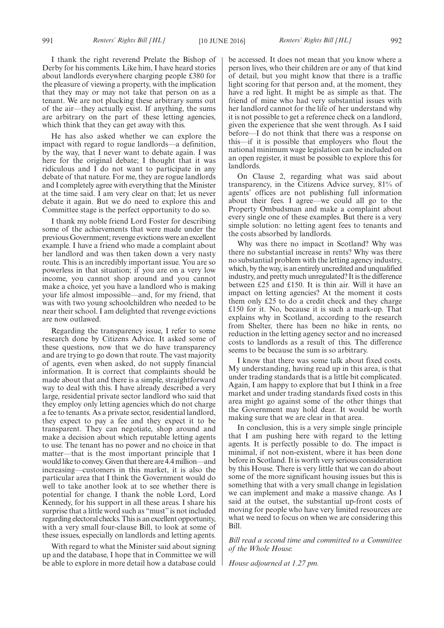I thank the right reverend Prelate the Bishop of Derby for his comments. Like him, I have heard stories about landlords everywhere charging people £380 for the pleasure of viewing a property, with the implication that they may or may not take that person on as a tenant. We are not plucking these arbitrary sums out of the air—they actually exist. If anything, the sums are arbitrary on the part of these letting agencies, which think that they can get away with this.

He has also asked whether we can explore the impact with regard to rogue landlords—a definition, by the way, that I never want to debate again. I was here for the original debate; I thought that it was ridiculous and I do not want to participate in any debate of that nature. For me, they are rogue landlords and I completely agree with everything that the Minister at the time said. I am very clear on that; let us never debate it again. But we do need to explore this and Committee stage is the perfect opportunity to do so.

I thank my noble friend Lord Foster for describing some of the achievements that were made under the previous Government; revenge evictions were an excellent example. I have a friend who made a complaint about her landlord and was then taken down a very nasty route. This is an incredibly important issue. You are so powerless in that situation; if you are on a very low income, you cannot shop around and you cannot make a choice, yet you have a landlord who is making your life almost impossible—and, for my friend, that was with two young schoolchildren who needed to be near their school. I am delighted that revenge evictions are now outlawed.

Regarding the transparency issue, I refer to some research done by Citizens Advice. It asked some of these questions, now that we do have transparency and are trying to go down that route. The vast majority of agents, even when asked, do not supply financial information. It is correct that complaints should be made about that and there is a simple, straightforward way to deal with this. I have already described a very large, residential private sector landlord who said that they employ only letting agencies which do not charge a fee to tenants. As a private sector, residential landlord, they expect to pay a fee and they expect it to be transparent. They can negotiate, shop around and make a decision about which reputable letting agents to use. The tenant has no power and no choice in that matter—that is the most important principle that I would like to convey. Given that there are 4.4 million—and increasing—customers in this market, it is also the particular area that I think the Government would do well to take another look at to see whether there is potential for change. I thank the noble Lord, Lord Kennedy, for his support in all these areas. I share his surprise that a little word such as "must" is not included regarding electoral checks. This is an excellent opportunity, with a very small four-clause Bill, to look at some of these issues, especially on landlords and letting agents.

With regard to what the Minister said about signing up and the database, I hope that in Committee we will be able to explore in more detail how a database could be accessed. It does not mean that you know where a person lives, who their children are or any of that kind of detail, but you might know that there is a traffic light scoring for that person and, at the moment, they have a red light. It might be as simple as that. The friend of mine who had very substantial issues with her landlord cannot for the life of her understand why it is not possible to get a reference check on a landlord, given the experience that she went through. As I said before—I do not think that there was a response on this—if it is possible that employers who flout the national minimum wage legislation can be included on an open register, it must be possible to explore this for landlords.

On Clause 2, regarding what was said about transparency, in the Citizens Advice survey, 81% of agents' offices are not publishing full information about their fees. I agree—we could all go to the Property Ombudsman and make a complaint about every single one of these examples. But there is a very simple solution: no letting agent fees to tenants and the costs absorbed by landlords.

Why was there no impact in Scotland? Why was there no substantial increase in rents? Why was there no substantial problem with the letting agency industry, which, by the way, is an entirely uncredited and unqualified industry, and pretty much unregulated? It is the difference between £25 and £150. It is thin air. Will it have an impact on letting agencies? At the moment it costs them only £25 to do a credit check and they charge £150 for it. No, because it is such a mark-up. That explains why in Scotland, according to the research from Shelter, there has been no hike in rents, no reduction in the letting agency sector and no increased costs to landlords as a result of this. The difference seems to be because the sum is so arbitrary.

I know that there was some talk about fixed costs. My understanding, having read up in this area, is that under trading standards that is a little bit complicated. Again, I am happy to explore that but I think in a free market and under trading standards fixed costs in this area might go against some of the other things that the Government may hold dear. It would be worth making sure that we are clear in that area.

In conclusion, this is a very simple single principle that I am pushing here with regard to the letting agents. It is perfectly possible to do. The impact is minimal, if not non-existent, where it has been done before in Scotland. It is worth very serious consideration by this House. There is very little that we can do about some of the more significant housing issues but this is something that with a very small change in legislation we can implement and make a massive change. As I said at the outset, the substantial up-front costs of moving for people who have very limited resources are what we need to focus on when we are considering this Bill.

*Bill read a second time and committed to a Committee of the Whole House.*

*House adjourned at 1.27 pm.*